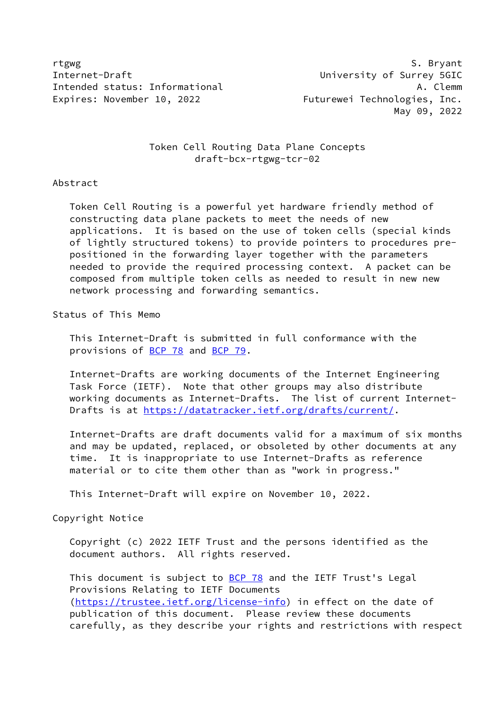rtgwg S. Bryant Internet-Draft University of Surrey 5GIC Intended status: Informational A. Clemm Expires: November 10, 2022 Futurewei Technologies, Inc.

May 09, 2022

# Token Cell Routing Data Plane Concepts draft-bcx-rtgwg-tcr-02

# Abstract

 Token Cell Routing is a powerful yet hardware friendly method of constructing data plane packets to meet the needs of new applications. It is based on the use of token cells (special kinds of lightly structured tokens) to provide pointers to procedures pre positioned in the forwarding layer together with the parameters needed to provide the required processing context. A packet can be composed from multiple token cells as needed to result in new new network processing and forwarding semantics.

### Status of This Memo

 This Internet-Draft is submitted in full conformance with the provisions of [BCP 78](https://datatracker.ietf.org/doc/pdf/bcp78) and [BCP 79](https://datatracker.ietf.org/doc/pdf/bcp79).

 Internet-Drafts are working documents of the Internet Engineering Task Force (IETF). Note that other groups may also distribute working documents as Internet-Drafts. The list of current Internet- Drafts is at<https://datatracker.ietf.org/drafts/current/>.

 Internet-Drafts are draft documents valid for a maximum of six months and may be updated, replaced, or obsoleted by other documents at any time. It is inappropriate to use Internet-Drafts as reference material or to cite them other than as "work in progress."

This Internet-Draft will expire on November 10, 2022.

### Copyright Notice

 Copyright (c) 2022 IETF Trust and the persons identified as the document authors. All rights reserved.

This document is subject to **[BCP 78](https://datatracker.ietf.org/doc/pdf/bcp78)** and the IETF Trust's Legal Provisions Relating to IETF Documents [\(https://trustee.ietf.org/license-info](https://trustee.ietf.org/license-info)) in effect on the date of publication of this document. Please review these documents carefully, as they describe your rights and restrictions with respect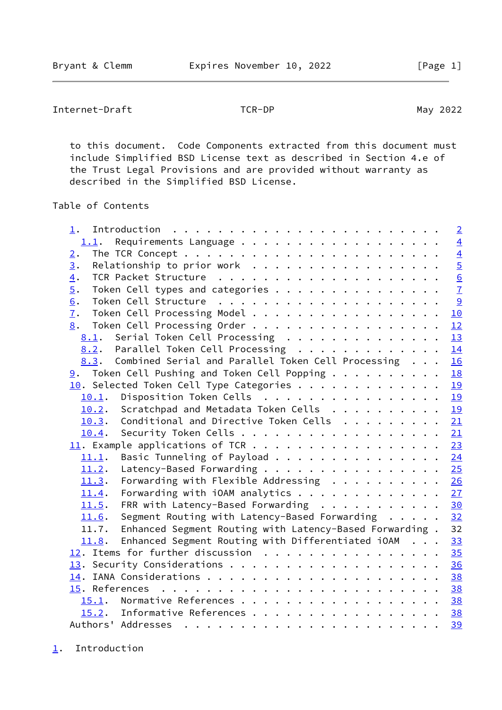<span id="page-1-1"></span>Internet-Draft TCR-DP TO TER-DP May 2022

 to this document. Code Components extracted from this document must include Simplified BSD License text as described in Section 4.e of the Trust Legal Provisions and are provided without warranty as described in the Simplified BSD License.

# Table of Contents

| $1$ .                                                         | $\overline{2}$ |
|---------------------------------------------------------------|----------------|
| 1.1. Requirements Language                                    | $\overline{4}$ |
| 2.                                                            | $\overline{4}$ |
| Relationship to prior work<br>3.                              | $rac{5}{6}$    |
| $\overline{4}$ .                                              |                |
| Token Cell types and categories<br>$\overline{5}$ .           | $\overline{1}$ |
| 6.                                                            | 9              |
| Token Cell Processing Model<br>$\overline{1}$ .               | 10             |
| Token Cell Processing Order<br>8.                             | 12             |
| 8.1. Serial Token Cell Processing                             | 13             |
| 8.2. Parallel Token Cell Processing                           | 14             |
| Combined Serial and Parallel Token Cell Processing<br>8.3.    | 16             |
| $9.$ Token Cell Pushing and Token Cell Popping $.$            | 18             |
| $\underline{10}$ . Selected Token Cell Type Categories        | 19             |
| 10.1. Disposition Token Cells                                 | 19             |
| Scratchpad and Metadata Token Cells<br>10.2.                  | 19             |
| Conditional and Directive Token Cells 21<br>10.3.             |                |
| 10.4.                                                         | 21             |
|                                                               | 23             |
| Basic Tunneling of Payload<br>11.1.                           | 24             |
| Latency-Based Forwarding 25<br>11.2.                          |                |
| Forwarding with Flexible Addressing $\cdots$ 26<br>11.3.      |                |
| Forwarding with iOAM analytics<br>11.4.                       | 27             |
| FRR with Latency-Based Forwarding<br>11.5.                    | 30             |
| Segment Routing with Latency-Based Forwarding<br>11.6.        | 32             |
| 11.7. Enhanced Segment Routing with Latency-Based Forwarding. | 32             |
| Enhanced Segment Routing with Differentiated iOAM<br>11.8.    | 33             |
| 12. Items for further discussion                              | 35             |
|                                                               | 36             |
|                                                               | 38             |
| 15. References                                                |                |
| 15.1. Normative References                                    | 38             |
| 15.2. Informative References                                  | 38             |
|                                                               | 39             |
|                                                               |                |

<span id="page-1-0"></span>[1](#page-1-0). Introduction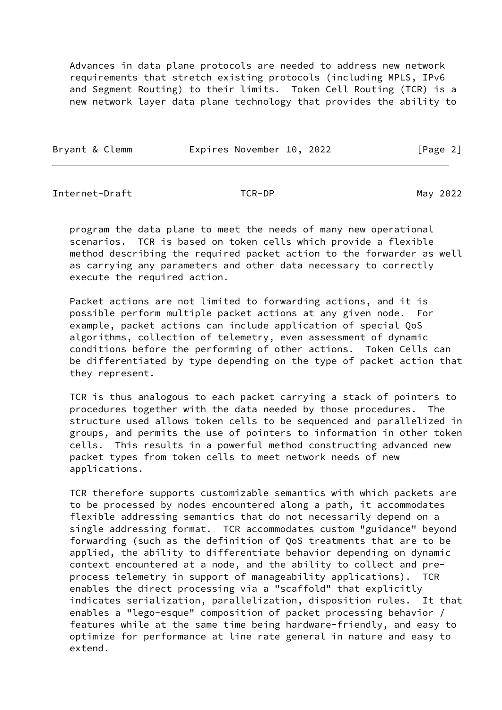Advances in data plane protocols are needed to address new network requirements that stretch existing protocols (including MPLS, IPv6 and Segment Routing) to their limits. Token Cell Routing (TCR) is a new network layer data plane technology that provides the ability to

| Bryant & Clemm | Expires November 10, 2022 | [Page 2] |
|----------------|---------------------------|----------|
|                |                           |          |

Internet-Draft TCR-DP May 2022

 program the data plane to meet the needs of many new operational scenarios. TCR is based on token cells which provide a flexible method describing the required packet action to the forwarder as well as carrying any parameters and other data necessary to correctly execute the required action.

 Packet actions are not limited to forwarding actions, and it is possible perform multiple packet actions at any given node. For example, packet actions can include application of special QoS algorithms, collection of telemetry, even assessment of dynamic conditions before the performing of other actions. Token Cells can be differentiated by type depending on the type of packet action that they represent.

 TCR is thus analogous to each packet carrying a stack of pointers to procedures together with the data needed by those procedures. The structure used allows token cells to be sequenced and parallelized in groups, and permits the use of pointers to information in other token cells. This results in a powerful method constructing advanced new packet types from token cells to meet network needs of new applications.

 TCR therefore supports customizable semantics with which packets are to be processed by nodes encountered along a path, it accommodates flexible addressing semantics that do not necessarily depend on a single addressing format. TCR accommodates custom "guidance" beyond forwarding (such as the definition of QoS treatments that are to be applied, the ability to differentiate behavior depending on dynamic context encountered at a node, and the ability to collect and pre process telemetry in support of manageability applications). TCR enables the direct processing via a "scaffold" that explicitly indicates serialization, parallelization, disposition rules. It that enables a "lego-esque" composition of packet processing behavior / features while at the same time being hardware-friendly, and easy to optimize for performance at line rate general in nature and easy to extend.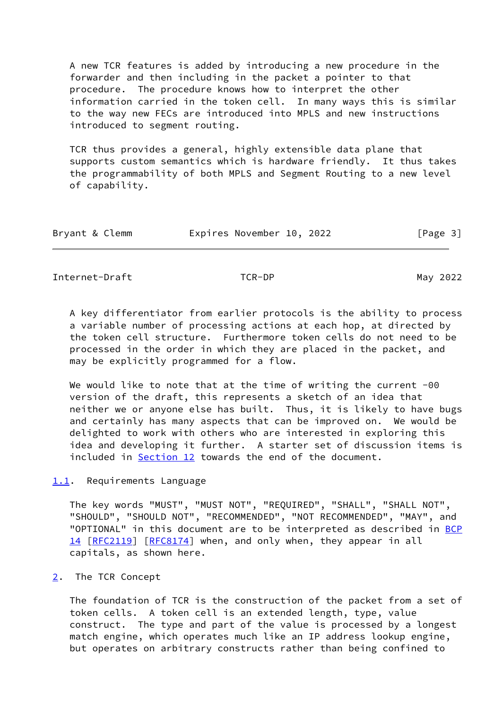A new TCR features is added by introducing a new procedure in the forwarder and then including in the packet a pointer to that procedure. The procedure knows how to interpret the other information carried in the token cell. In many ways this is similar to the way new FECs are introduced into MPLS and new instructions introduced to segment routing.

 TCR thus provides a general, highly extensible data plane that supports custom semantics which is hardware friendly. It thus takes the programmability of both MPLS and Segment Routing to a new level of capability.

| Bryant & Clemm | Expires November 10, 2022 | [Page 3] |
|----------------|---------------------------|----------|
|----------------|---------------------------|----------|

<span id="page-3-1"></span>Internet-Draft TCR-DP TO TER-DP May 2022

 A key differentiator from earlier protocols is the ability to process a variable number of processing actions at each hop, at directed by the token cell structure. Furthermore token cells do not need to be processed in the order in which they are placed in the packet, and may be explicitly programmed for a flow.

We would like to note that at the time of writing the current -00 version of the draft, this represents a sketch of an idea that neither we or anyone else has built. Thus, it is likely to have bugs and certainly has many aspects that can be improved on. We would be delighted to work with others who are interested in exploring this idea and developing it further. A starter set of discussion items is included in [Section 12](#page-38-0) towards the end of the document.

# <span id="page-3-0"></span>[1.1](#page-3-0). Requirements Language

 The key words "MUST", "MUST NOT", "REQUIRED", "SHALL", "SHALL NOT", "SHOULD", "SHOULD NOT", "RECOMMENDED", "NOT RECOMMENDED", "MAY", and "OPTIONAL" in this document are to be interpreted as described in [BCP](https://datatracker.ietf.org/doc/pdf/bcp14) [14](https://datatracker.ietf.org/doc/pdf/bcp14) [[RFC2119\]](https://datatracker.ietf.org/doc/pdf/rfc2119) [\[RFC8174](https://datatracker.ietf.org/doc/pdf/rfc8174)] when, and only when, they appear in all capitals, as shown here.

# <span id="page-3-2"></span>[2](#page-3-2). The TCR Concept

 The foundation of TCR is the construction of the packet from a set of token cells. A token cell is an extended length, type, value construct. The type and part of the value is processed by a longest match engine, which operates much like an IP address lookup engine, but operates on arbitrary constructs rather than being confined to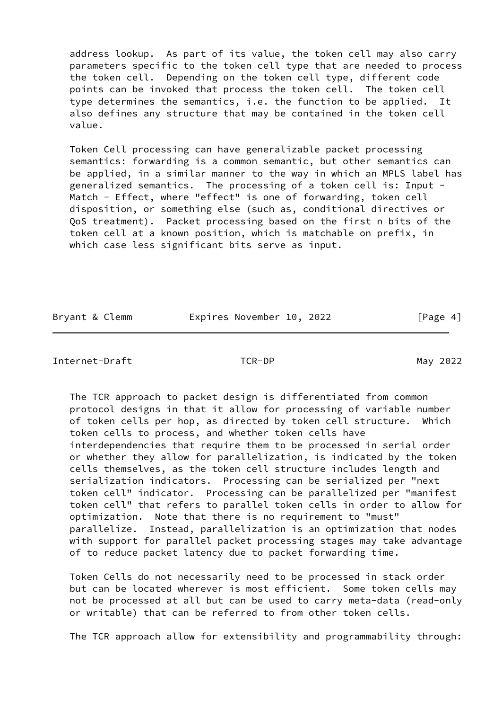address lookup. As part of its value, the token cell may also carry parameters specific to the token cell type that are needed to process the token cell. Depending on the token cell type, different code points can be invoked that process the token cell. The token cell type determines the semantics, i.e. the function to be applied. It also defines any structure that may be contained in the token cell value.

 Token Cell processing can have generalizable packet processing semantics: forwarding is a common semantic, but other semantics can be applied, in a similar manner to the way in which an MPLS label has generalized semantics. The processing of a token cell is: Input - Match - Effect, where "effect" is one of forwarding, token cell disposition, or something else (such as, conditional directives or QoS treatment). Packet processing based on the first n bits of the token cell at a known position, which is matchable on prefix, in which case less significant bits serve as input.

| Bryant & Clemm | Expires November 10, 2022 |  | [Page 4] |
|----------------|---------------------------|--|----------|
|----------------|---------------------------|--|----------|

<span id="page-4-0"></span>Internet-Draft TCR-DP May 2022

 The TCR approach to packet design is differentiated from common protocol designs in that it allow for processing of variable number of token cells per hop, as directed by token cell structure. Which token cells to process, and whether token cells have interdependencies that require them to be processed in serial order or whether they allow for parallelization, is indicated by the token cells themselves, as the token cell structure includes length and serialization indicators. Processing can be serialized per "next token cell" indicator. Processing can be parallelized per "manifest token cell" that refers to parallel token cells in order to allow for optimization. Note that there is no requirement to "must" parallelize. Instead, parallelization is an optimization that nodes with support for parallel packet processing stages may take advantage of to reduce packet latency due to packet forwarding time.

 Token Cells do not necessarily need to be processed in stack order but can be located wherever is most efficient. Some token cells may not be processed at all but can be used to carry meta-data (read-only or writable) that can be referred to from other token cells.

The TCR approach allow for extensibility and programmability through: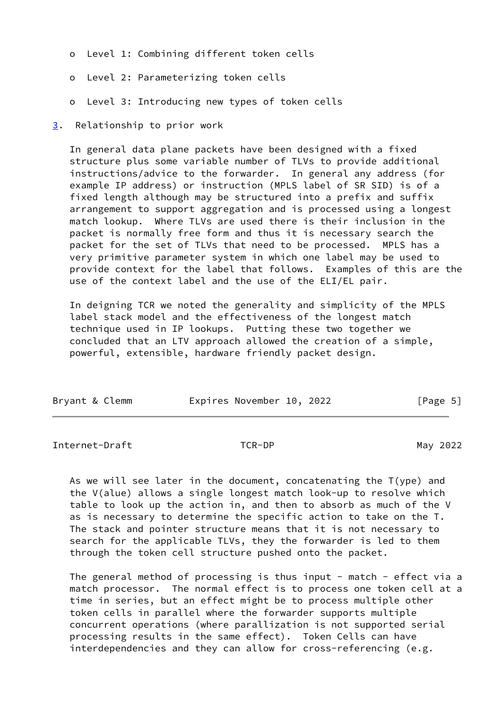- o Level 1: Combining different token cells
- o Level 2: Parameterizing token cells
- o Level 3: Introducing new types of token cells
- <span id="page-5-0"></span>[3](#page-5-0). Relationship to prior work

 In general data plane packets have been designed with a fixed structure plus some variable number of TLVs to provide additional instructions/advice to the forwarder. In general any address (for example IP address) or instruction (MPLS label of SR SID) is of a fixed length although may be structured into a prefix and suffix arrangement to support aggregation and is processed using a longest match lookup. Where TLVs are used there is their inclusion in the packet is normally free form and thus it is necessary search the packet for the set of TLVs that need to be processed. MPLS has a very primitive parameter system in which one label may be used to provide context for the label that follows. Examples of this are the use of the context label and the use of the ELI/EL pair.

 In deigning TCR we noted the generality and simplicity of the MPLS label stack model and the effectiveness of the longest match technique used in IP lookups. Putting these two together we concluded that an LTV approach allowed the creation of a simple, powerful, extensible, hardware friendly packet design.

| Bryant & Clemm | Expires November 10, 2022 |  | [Page 5] |
|----------------|---------------------------|--|----------|
|----------------|---------------------------|--|----------|

<span id="page-5-1"></span>Internet-Draft TCR-DP TO TER-DP May 2022

 As we will see later in the document, concatenating the T(ype) and the V(alue) allows a single longest match look-up to resolve which table to look up the action in, and then to absorb as much of the V as is necessary to determine the specific action to take on the T. The stack and pointer structure means that it is not necessary to search for the applicable TLVs, they the forwarder is led to them through the token cell structure pushed onto the packet.

The general method of processing is thus input - match - effect via a match processor. The normal effect is to process one token cell at a time in series, but an effect might be to process multiple other token cells in parallel where the forwarder supports multiple concurrent operations (where parallization is not supported serial processing results in the same effect). Token Cells can have interdependencies and they can allow for cross-referencing (e.g.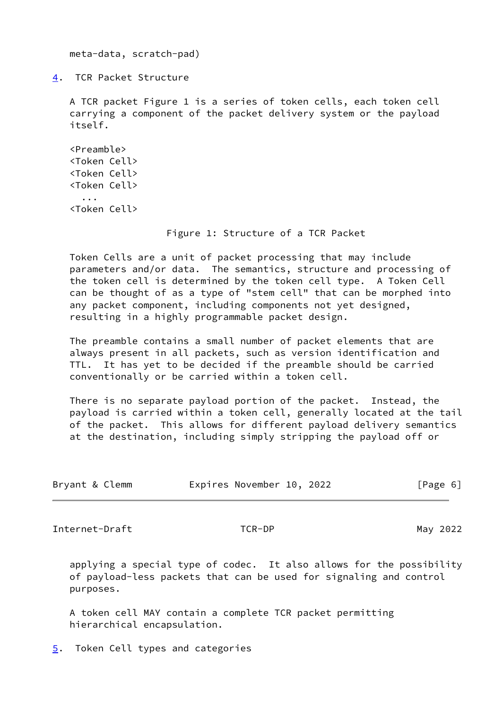meta-data, scratch-pad)

<span id="page-6-0"></span>[4](#page-6-0). TCR Packet Structure

 A TCR packet Figure 1 is a series of token cells, each token cell carrying a component of the packet delivery system or the payload itself.

```
 <Preamble>
<Token Cell>
<Token Cell>
<Token Cell>
  ...
<Token Cell>
```
### Figure 1: Structure of a TCR Packet

 Token Cells are a unit of packet processing that may include parameters and/or data. The semantics, structure and processing of the token cell is determined by the token cell type. A Token Cell can be thought of as a type of "stem cell" that can be morphed into any packet component, including components not yet designed, resulting in a highly programmable packet design.

 The preamble contains a small number of packet elements that are always present in all packets, such as version identification and TTL. It has yet to be decided if the preamble should be carried conventionally or be carried within a token cell.

 There is no separate payload portion of the packet. Instead, the payload is carried within a token cell, generally located at the tail of the packet. This allows for different payload delivery semantics at the destination, including simply stripping the payload off or

| Bryant & Clemm |  | Expires November 10, 2022 |  |  |  | [Page 6] |  |  |
|----------------|--|---------------------------|--|--|--|----------|--|--|
|----------------|--|---------------------------|--|--|--|----------|--|--|

<span id="page-6-2"></span>Internet-Draft TCR-DP May 2022

 applying a special type of codec. It also allows for the possibility of payload-less packets that can be used for signaling and control purposes.

 A token cell MAY contain a complete TCR packet permitting hierarchical encapsulation.

<span id="page-6-1"></span>[5](#page-6-1). Token Cell types and categories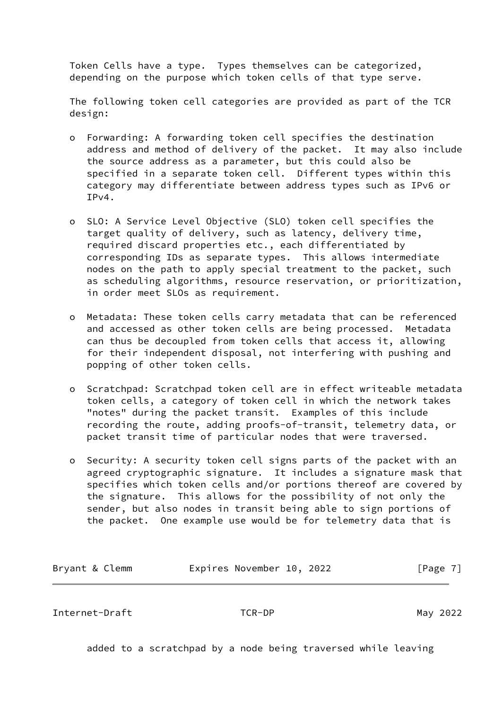Token Cells have a type. Types themselves can be categorized, depending on the purpose which token cells of that type serve.

 The following token cell categories are provided as part of the TCR design:

- o Forwarding: A forwarding token cell specifies the destination address and method of delivery of the packet. It may also include the source address as a parameter, but this could also be specified in a separate token cell. Different types within this category may differentiate between address types such as IPv6 or IPv4.
- o SLO: A Service Level Objective (SLO) token cell specifies the target quality of delivery, such as latency, delivery time, required discard properties etc., each differentiated by corresponding IDs as separate types. This allows intermediate nodes on the path to apply special treatment to the packet, such as scheduling algorithms, resource reservation, or prioritization, in order meet SLOs as requirement.
- o Metadata: These token cells carry metadata that can be referenced and accessed as other token cells are being processed. Metadata can thus be decoupled from token cells that access it, allowing for their independent disposal, not interfering with pushing and popping of other token cells.
- o Scratchpad: Scratchpad token cell are in effect writeable metadata token cells, a category of token cell in which the network takes "notes" during the packet transit. Examples of this include recording the route, adding proofs-of-transit, telemetry data, or packet transit time of particular nodes that were traversed.
- o Security: A security token cell signs parts of the packet with an agreed cryptographic signature. It includes a signature mask that specifies which token cells and/or portions thereof are covered by the signature. This allows for the possibility of not only the sender, but also nodes in transit being able to sign portions of the packet. One example use would be for telemetry data that is

| Bryant & Clemm | Expires November 10, 2022 |  | [Page 7] |
|----------------|---------------------------|--|----------|
|----------------|---------------------------|--|----------|

Internet-Draft TCR-DP May 2022

added to a scratchpad by a node being traversed while leaving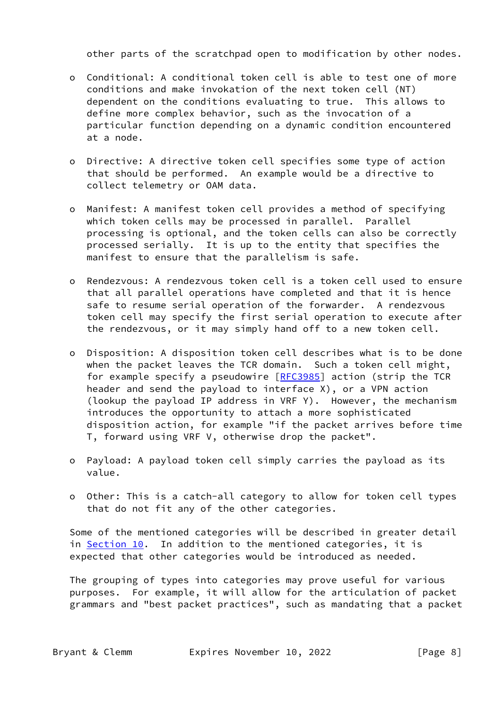other parts of the scratchpad open to modification by other nodes.

- o Conditional: A conditional token cell is able to test one of more conditions and make invokation of the next token cell (NT) dependent on the conditions evaluating to true. This allows to define more complex behavior, such as the invocation of a particular function depending on a dynamic condition encountered at a node.
- o Directive: A directive token cell specifies some type of action that should be performed. An example would be a directive to collect telemetry or OAM data.
- o Manifest: A manifest token cell provides a method of specifying which token cells may be processed in parallel. Parallel processing is optional, and the token cells can also be correctly processed serially. It is up to the entity that specifies the manifest to ensure that the parallelism is safe.
- o Rendezvous: A rendezvous token cell is a token cell used to ensure that all parallel operations have completed and that it is hence safe to resume serial operation of the forwarder. A rendezvous token cell may specify the first serial operation to execute after the rendezvous, or it may simply hand off to a new token cell.
- o Disposition: A disposition token cell describes what is to be done when the packet leaves the TCR domain. Such a token cell might, for example specify a pseudowire [\[RFC3985](https://datatracker.ietf.org/doc/pdf/rfc3985)] action (strip the TCR header and send the payload to interface X), or a VPN action (lookup the payload IP address in VRF Y). However, the mechanism introduces the opportunity to attach a more sophisticated disposition action, for example "if the packet arrives before time T, forward using VRF V, otherwise drop the packet".
- o Payload: A payload token cell simply carries the payload as its value.
- o Other: This is a catch-all category to allow for token cell types that do not fit any of the other categories.

 Some of the mentioned categories will be described in greater detail in [Section 10.](#page-20-0) In addition to the mentioned categories, it is expected that other categories would be introduced as needed.

 The grouping of types into categories may prove useful for various purposes. For example, it will allow for the articulation of packet grammars and "best packet practices", such as mandating that a packet

Bryant & Clemm **Expires November 10, 2022** [Page 8]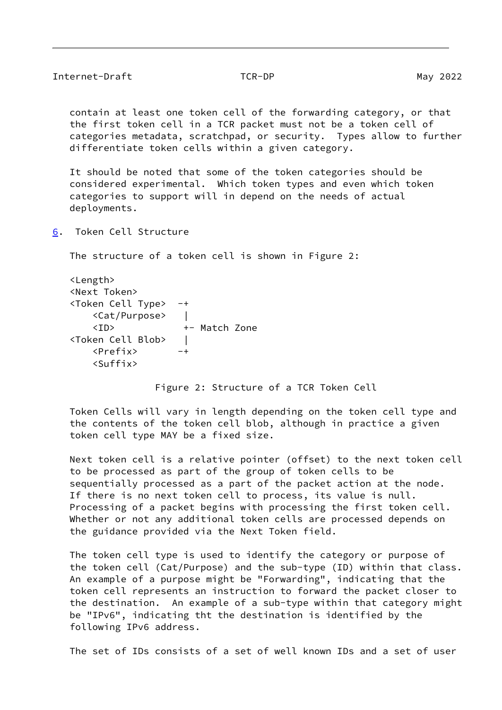<span id="page-9-1"></span>

| Internet-Draft | TCR-DP |
|----------------|--------|
|                |        |

 contain at least one token cell of the forwarding category, or that the first token cell in a TCR packet must not be a token cell of categories metadata, scratchpad, or security. Types allow to further differentiate token cells within a given category.

 It should be noted that some of the token categories should be considered experimental. Which token types and even which token categories to support will in depend on the needs of actual deployments.

<span id="page-9-0"></span>[6](#page-9-0). Token Cell Structure

The structure of a token cell is shown in Figure 2:

 <Length> <Next Token> <Token Cell Type> -+ <Cat/Purpose> | <ID> +- Match Zone <Token Cell Blob> | <Prefix> -+ <Suffix>

Figure 2: Structure of a TCR Token Cell

 Token Cells will vary in length depending on the token cell type and the contents of the token cell blob, although in practice a given token cell type MAY be a fixed size.

 Next token cell is a relative pointer (offset) to the next token cell to be processed as part of the group of token cells to be sequentially processed as a part of the packet action at the node. If there is no next token cell to process, its value is null. Processing of a packet begins with processing the first token cell. Whether or not any additional token cells are processed depends on the guidance provided via the Next Token field.

 The token cell type is used to identify the category or purpose of the token cell (Cat/Purpose) and the sub-type (ID) within that class. An example of a purpose might be "Forwarding", indicating that the token cell represents an instruction to forward the packet closer to the destination. An example of a sub-type within that category might be "IPv6", indicating tht the destination is identified by the following IPv6 address.

The set of IDs consists of a set of well known IDs and a set of user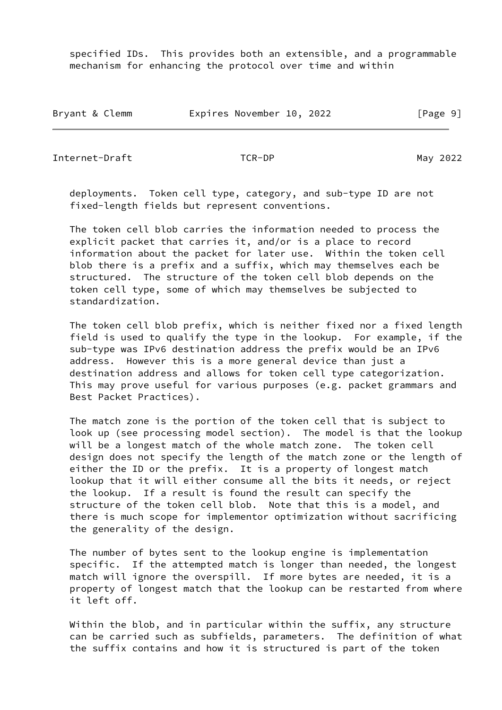specified IDs. This provides both an extensible, and a programmable mechanism for enhancing the protocol over time and within

| Bryant & Clemm |  | Expires November 10, 2022 |  |  | [Page 9] |
|----------------|--|---------------------------|--|--|----------|
|----------------|--|---------------------------|--|--|----------|

<span id="page-10-0"></span>Internet-Draft TCR-DP May 2022

 deployments. Token cell type, category, and sub-type ID are not fixed-length fields but represent conventions.

 The token cell blob carries the information needed to process the explicit packet that carries it, and/or is a place to record information about the packet for later use. Within the token cell blob there is a prefix and a suffix, which may themselves each be structured. The structure of the token cell blob depends on the token cell type, some of which may themselves be subjected to standardization.

 The token cell blob prefix, which is neither fixed nor a fixed length field is used to qualify the type in the lookup. For example, if the sub-type was IPv6 destination address the prefix would be an IPv6 address. However this is a more general device than just a destination address and allows for token cell type categorization. This may prove useful for various purposes (e.g. packet grammars and Best Packet Practices).

 The match zone is the portion of the token cell that is subject to look up (see processing model section). The model is that the lookup will be a longest match of the whole match zone. The token cell design does not specify the length of the match zone or the length of either the ID or the prefix. It is a property of longest match lookup that it will either consume all the bits it needs, or reject the lookup. If a result is found the result can specify the structure of the token cell blob. Note that this is a model, and there is much scope for implementor optimization without sacrificing the generality of the design.

 The number of bytes sent to the lookup engine is implementation specific. If the attempted match is longer than needed, the longest match will ignore the overspill. If more bytes are needed, it is a property of longest match that the lookup can be restarted from where it left off.

 Within the blob, and in particular within the suffix, any structure can be carried such as subfields, parameters. The definition of what the suffix contains and how it is structured is part of the token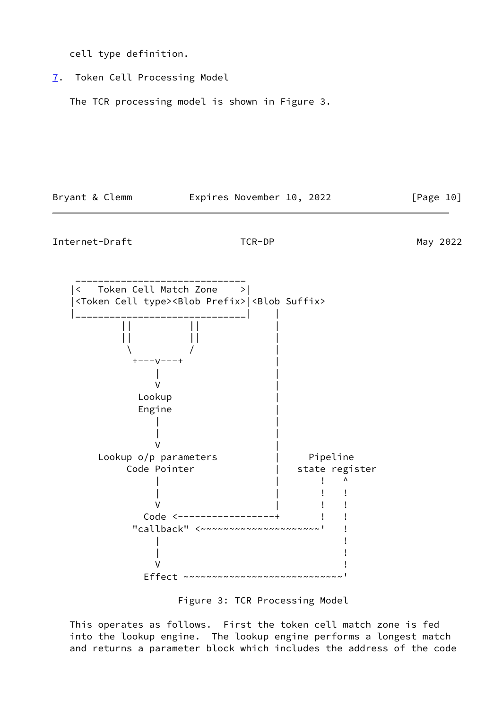cell type definition.

<span id="page-11-0"></span>[7](#page-11-0). Token Cell Processing Model

The TCR processing model is shown in Figure 3.

Bryant & Clemm Expires November 10, 2022 [Page 10]

Internet-Draft TCR-DP May 2022



Figure 3: TCR Processing Model

 This operates as follows. First the token cell match zone is fed into the lookup engine. The lookup engine performs a longest match and returns a parameter block which includes the address of the code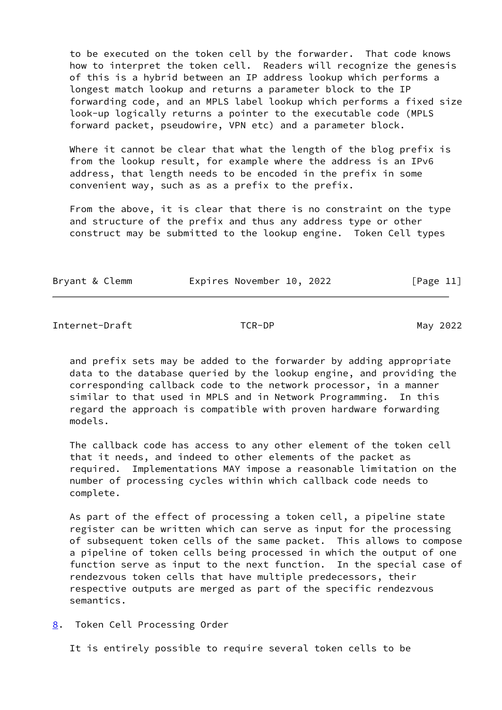to be executed on the token cell by the forwarder. That code knows how to interpret the token cell. Readers will recognize the genesis of this is a hybrid between an IP address lookup which performs a longest match lookup and returns a parameter block to the IP forwarding code, and an MPLS label lookup which performs a fixed size look-up logically returns a pointer to the executable code (MPLS forward packet, pseudowire, VPN etc) and a parameter block.

 Where it cannot be clear that what the length of the blog prefix is from the lookup result, for example where the address is an IPv6 address, that length needs to be encoded in the prefix in some convenient way, such as as a prefix to the prefix.

 From the above, it is clear that there is no constraint on the type and structure of the prefix and thus any address type or other construct may be submitted to the lookup engine. Token Cell types

| Bryant & Clemm | Expires November 10, 2022 |  | [Page 11] |
|----------------|---------------------------|--|-----------|
|                |                           |  |           |

<span id="page-12-1"></span>Internet-Draft TCR-DP May 2022

 and prefix sets may be added to the forwarder by adding appropriate data to the database queried by the lookup engine, and providing the corresponding callback code to the network processor, in a manner similar to that used in MPLS and in Network Programming. In this regard the approach is compatible with proven hardware forwarding models.

 The callback code has access to any other element of the token cell that it needs, and indeed to other elements of the packet as required. Implementations MAY impose a reasonable limitation on the number of processing cycles within which callback code needs to complete.

 As part of the effect of processing a token cell, a pipeline state register can be written which can serve as input for the processing of subsequent token cells of the same packet. This allows to compose a pipeline of token cells being processed in which the output of one function serve as input to the next function. In the special case of rendezvous token cells that have multiple predecessors, their respective outputs are merged as part of the specific rendezvous semantics.

<span id="page-12-0"></span>[8](#page-12-0). Token Cell Processing Order

It is entirely possible to require several token cells to be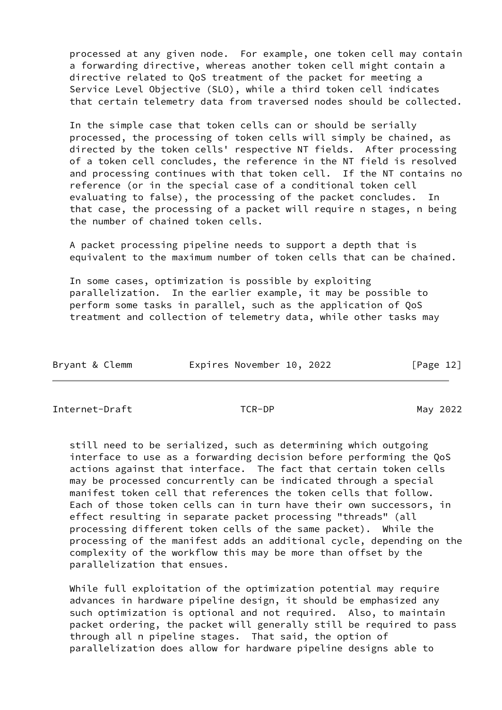processed at any given node. For example, one token cell may contain a forwarding directive, whereas another token cell might contain a directive related to QoS treatment of the packet for meeting a Service Level Objective (SLO), while a third token cell indicates that certain telemetry data from traversed nodes should be collected.

 In the simple case that token cells can or should be serially processed, the processing of token cells will simply be chained, as directed by the token cells' respective NT fields. After processing of a token cell concludes, the reference in the NT field is resolved and processing continues with that token cell. If the NT contains no reference (or in the special case of a conditional token cell evaluating to false), the processing of the packet concludes. In that case, the processing of a packet will require n stages, n being the number of chained token cells.

 A packet processing pipeline needs to support a depth that is equivalent to the maximum number of token cells that can be chained.

 In some cases, optimization is possible by exploiting parallelization. In the earlier example, it may be possible to perform some tasks in parallel, such as the application of QoS treatment and collection of telemetry data, while other tasks may

| Bryant & Clemm | Expires November 10, 2022 |  | [Page 12] |
|----------------|---------------------------|--|-----------|
|----------------|---------------------------|--|-----------|

<span id="page-13-0"></span>Internet-Draft TCR-DP May 2022

 still need to be serialized, such as determining which outgoing interface to use as a forwarding decision before performing the QoS actions against that interface. The fact that certain token cells may be processed concurrently can be indicated through a special manifest token cell that references the token cells that follow. Each of those token cells can in turn have their own successors, in effect resulting in separate packet processing "threads" (all processing different token cells of the same packet). While the processing of the manifest adds an additional cycle, depending on the complexity of the workflow this may be more than offset by the parallelization that ensues.

 While full exploitation of the optimization potential may require advances in hardware pipeline design, it should be emphasized any such optimization is optional and not required. Also, to maintain packet ordering, the packet will generally still be required to pass through all n pipeline stages. That said, the option of parallelization does allow for hardware pipeline designs able to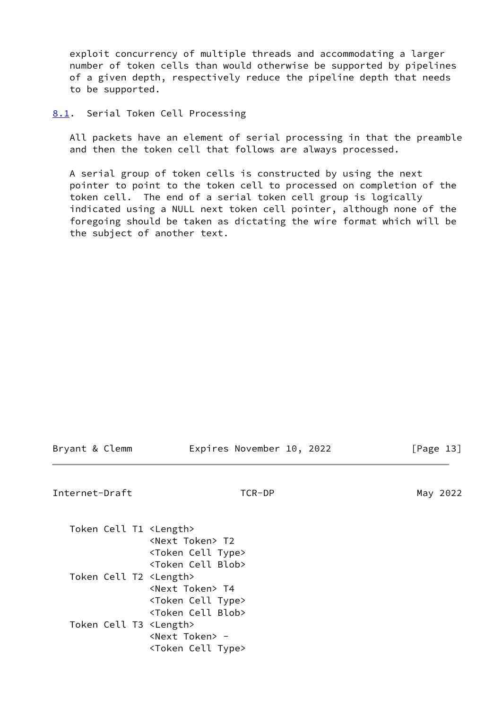exploit concurrency of multiple threads and accommodating a larger number of token cells than would otherwise be supported by pipelines of a given depth, respectively reduce the pipeline depth that needs to be supported.

<span id="page-14-0"></span>[8.1](#page-14-0). Serial Token Cell Processing

 All packets have an element of serial processing in that the preamble and then the token cell that follows are always processed.

 A serial group of token cells is constructed by using the next pointer to point to the token cell to processed on completion of the token cell. The end of a serial token cell group is logically indicated using a NULL next token cell pointer, although none of the foregoing should be taken as dictating the wire format which will be the subject of another text.

Bryant & Clemm **Expires November 10, 2022** [Page 13]

<span id="page-14-1"></span>Internet-Draft TCR-DP TO TO May 2022

| Token Cell T1 <length></length> | <next token=""> T2</next>       |
|---------------------------------|---------------------------------|
|                                 |                                 |
|                                 | <token cell="" type=""></token> |
|                                 | <token blob="" cell=""></token> |
| Token Cell T2 <length></length> |                                 |
|                                 | <next token=""> T4</next>       |
|                                 | <token cell="" type=""></token> |
|                                 | <token blob="" cell=""></token> |
| Token Cell T3 <length></length> |                                 |
|                                 | <next token=""> -</next>        |
|                                 | <token cell="" type=""></token> |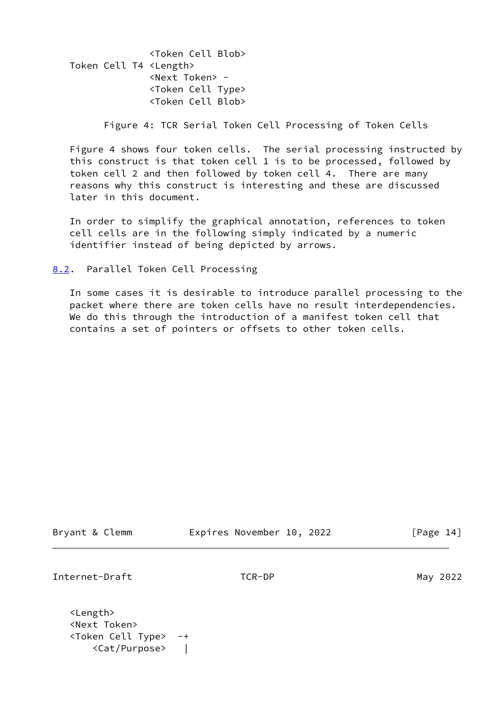<Token Cell Blob> Token Cell T4 <Length> <Next Token> - <Token Cell Type> <Token Cell Blob>

Figure 4: TCR Serial Token Cell Processing of Token Cells

 Figure 4 shows four token cells. The serial processing instructed by this construct is that token cell 1 is to be processed, followed by token cell 2 and then followed by token cell 4. There are many reasons why this construct is interesting and these are discussed later in this document.

 In order to simplify the graphical annotation, references to token cell cells are in the following simply indicated by a numeric identifier instead of being depicted by arrows.

<span id="page-15-0"></span>[8.2](#page-15-0). Parallel Token Cell Processing

 In some cases it is desirable to introduce parallel processing to the packet where there are token cells have no result interdependencies. We do this through the introduction of a manifest token cell that contains a set of pointers or offsets to other token cells.

| Bryant & Clemm |  |  |
|----------------|--|--|
|----------------|--|--|

Expires November 10, 2022 [Page 14]

Internet-Draft TCR-DP May 2022

 <Length> <Next Token> <Token Cell Type> -+ <Cat/Purpose> |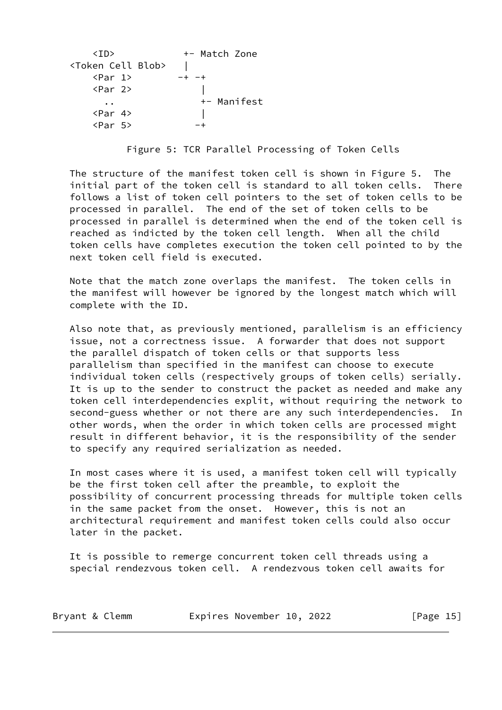<ID> +- Match Zone <Token Cell Blob> |  $\langle Par \ 1 \rangle$  -+ -+ <Par 2> | .. +- Manifest <Par 4> |  $\langle Par \, 5 \rangle$  -+

Figure 5: TCR Parallel Processing of Token Cells

 The structure of the manifest token cell is shown in Figure 5. The initial part of the token cell is standard to all token cells. There follows a list of token cell pointers to the set of token cells to be processed in parallel. The end of the set of token cells to be processed in parallel is determined when the end of the token cell is reached as indicted by the token cell length. When all the child token cells have completes execution the token cell pointed to by the next token cell field is executed.

 Note that the match zone overlaps the manifest. The token cells in the manifest will however be ignored by the longest match which will complete with the ID.

 Also note that, as previously mentioned, parallelism is an efficiency issue, not a correctness issue. A forwarder that does not support the parallel dispatch of token cells or that supports less parallelism than specified in the manifest can choose to execute individual token cells (respectively groups of token cells) serially. It is up to the sender to construct the packet as needed and make any token cell interdependencies explit, without requiring the network to second-guess whether or not there are any such interdependencies. In other words, when the order in which token cells are processed might result in different behavior, it is the responsibility of the sender to specify any required serialization as needed.

 In most cases where it is used, a manifest token cell will typically be the first token cell after the preamble, to exploit the possibility of concurrent processing threads for multiple token cells in the same packet from the onset. However, this is not an architectural requirement and manifest token cells could also occur later in the packet.

 It is possible to remerge concurrent token cell threads using a special rendezvous token cell. A rendezvous token cell awaits for

Bryant & Clemm Expires November 10, 2022 [Page 15]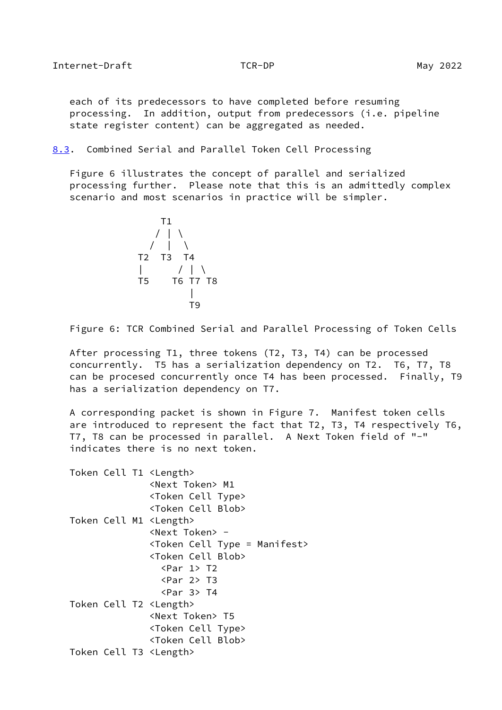<span id="page-17-1"></span> each of its predecessors to have completed before resuming processing. In addition, output from predecessors (i.e. pipeline state register content) can be aggregated as needed.

<span id="page-17-0"></span>[8.3](#page-17-0). Combined Serial and Parallel Token Cell Processing

 Figure 6 illustrates the concept of parallel and serialized processing further. Please note that this is an admittedly complex scenario and most scenarios in practice will be simpler.



Figure 6: TCR Combined Serial and Parallel Processing of Token Cells

 After processing T1, three tokens (T2, T3, T4) can be processed concurrently. T5 has a serialization dependency on T2. T6, T7, T8 can be procesed concurrently once T4 has been processed. Finally, T9 has a serialization dependency on T7.

 A corresponding packet is shown in Figure 7. Manifest token cells are introduced to represent the fact that T2, T3, T4 respectively T6, T7, T8 can be processed in parallel. A Next Token field of "-" indicates there is no next token.

|  |  | Token Cell T1 <length></length>         |
|--|--|-----------------------------------------|
|  |  | <next token=""> M1</next>               |
|  |  | <token cell="" type=""></token>         |
|  |  | <token blob="" cell=""></token>         |
|  |  | Token Cell M1 <length></length>         |
|  |  | <next token=""> -</next>                |
|  |  | <token cell="" type="Manifest"></token> |
|  |  | <token blob="" cell=""></token>         |
|  |  | $\langle Par \rangle$ T2                |
|  |  | $\langle Par 2 \rangle$ T3              |
|  |  | $\langle Par \; 3 \rangle$ T4           |
|  |  | Token Cell T2 <length></length>         |
|  |  | <next token=""> T5</next>               |
|  |  | <token cell="" type=""></token>         |
|  |  | <token blob="" cell=""></token>         |
|  |  | Token Cell T3 <length></length>         |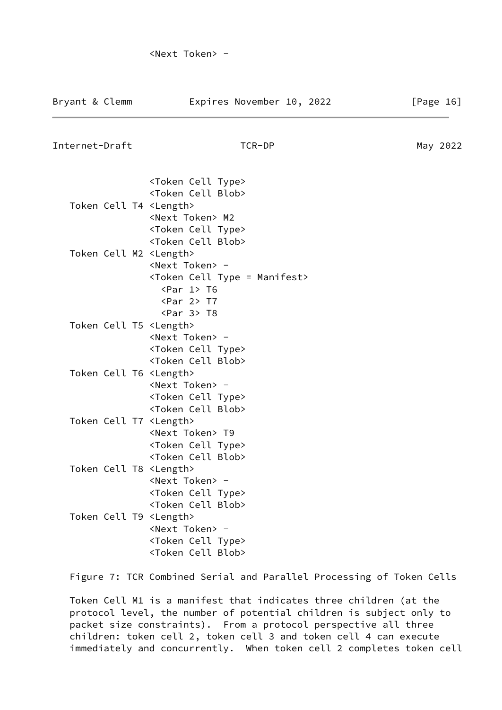| Internet-Draft | TCR-DP                                                              | May 2022 |
|----------------|---------------------------------------------------------------------|----------|
|                | <token cell="" type=""><br/><token blob="" cell=""></token></token> |          |

 Token Cell T4 <Length> <Next Token> M2 <Token Cell Type> <Token Cell Blob> Token Cell M2 <Length> <Next Token> - <Token Cell Type = Manifest> <Par 1> T6 <Par 2> T7 <Par 3> T8 Token Cell T5 <Length> <Next Token> - <Token Cell Type> <Token Cell Blob> Token Cell T6 <Length> <Next Token> - <Token Cell Type> <Token Cell Blob> Token Cell T7 <Length> <Next Token> T9 <Token Cell Type> <Token Cell Blob> Token Cell T8 <Length> <Next Token> - <Token Cell Type> <Token Cell Blob> Token Cell T9 <Length> <Next Token> - <Token Cell Type> <Token Cell Blob>

Figure 7: TCR Combined Serial and Parallel Processing of Token Cells

 Token Cell M1 is a manifest that indicates three children (at the protocol level, the number of potential children is subject only to packet size constraints). From a protocol perspective all three children: token cell 2, token cell 3 and token cell 4 can execute immediately and concurrently. When token cell 2 completes token cell

Bryant & Clemm **Expires November 10, 2022** [Page 16]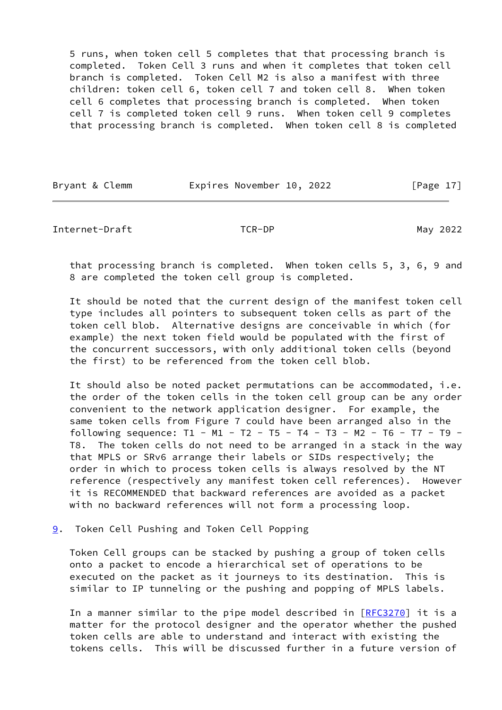5 runs, when token cell 5 completes that that processing branch is completed. Token Cell 3 runs and when it completes that token cell branch is completed. Token Cell M2 is also a manifest with three children: token cell 6, token cell 7 and token cell 8. When token cell 6 completes that processing branch is completed. When token cell 7 is completed token cell 9 runs. When token cell 9 completes that processing branch is completed. When token cell 8 is completed

|  | Bryant & Clemm | Expires November 10, 2022 |  | [Page 17] |
|--|----------------|---------------------------|--|-----------|
|--|----------------|---------------------------|--|-----------|

<span id="page-19-1"></span>Internet-Draft TCR-DP May 2022

 that processing branch is completed. When token cells 5, 3, 6, 9 and 8 are completed the token cell group is completed.

 It should be noted that the current design of the manifest token cell type includes all pointers to subsequent token cells as part of the token cell blob. Alternative designs are conceivable in which (for example) the next token field would be populated with the first of the concurrent successors, with only additional token cells (beyond the first) to be referenced from the token cell blob.

 It should also be noted packet permutations can be accommodated, i.e. the order of the token cells in the token cell group can be any order convenient to the network application designer. For example, the same token cells from Figure 7 could have been arranged also in the following sequence:  $T1 - M1 - T2 - T5 - T4 - T3 - M2 - T6 - T7 - T9 -$  T8. The token cells do not need to be arranged in a stack in the way that MPLS or SRv6 arrange their labels or SIDs respectively; the order in which to process token cells is always resolved by the NT reference (respectively any manifest token cell references). However it is RECOMMENDED that backward references are avoided as a packet with no backward references will not form a processing loop.

<span id="page-19-0"></span>[9](#page-19-0). Token Cell Pushing and Token Cell Popping

 Token Cell groups can be stacked by pushing a group of token cells onto a packet to encode a hierarchical set of operations to be executed on the packet as it journeys to its destination. This is similar to IP tunneling or the pushing and popping of MPLS labels.

In a manner similar to the pipe model described in  $[REC3270]$  it is a matter for the protocol designer and the operator whether the pushed token cells are able to understand and interact with existing the tokens cells. This will be discussed further in a future version of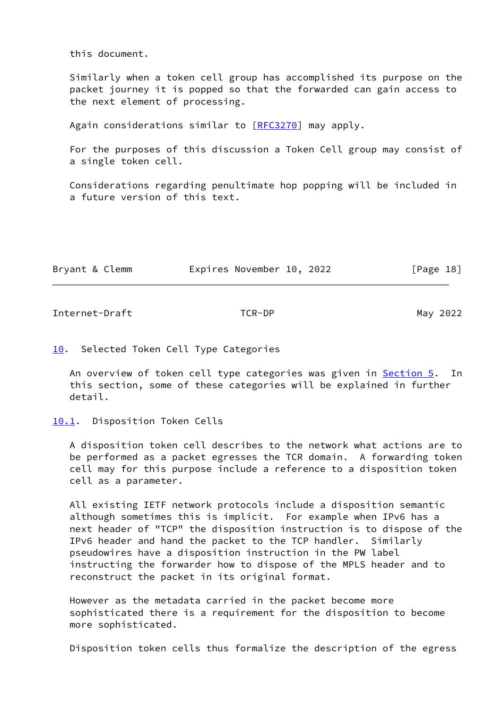this document.

 Similarly when a token cell group has accomplished its purpose on the packet journey it is popped so that the forwarded can gain access to the next element of processing.

Again considerations similar to [\[RFC3270](https://datatracker.ietf.org/doc/pdf/rfc3270)] may apply.

 For the purposes of this discussion a Token Cell group may consist of a single token cell.

 Considerations regarding penultimate hop popping will be included in a future version of this text.

| Bryant & Clemm | Expires November 10, 2022 | [Page 18] |
|----------------|---------------------------|-----------|
|                |                           |           |

<span id="page-20-1"></span>Internet-Draft TCR-DP May 2022

### <span id="page-20-0"></span>[10.](#page-20-0) Selected Token Cell Type Categories

An overview of token cell type categories was given in **[Section 5.](#page-6-1)** In this section, some of these categories will be explained in further detail.

### <span id="page-20-2"></span>[10.1](#page-20-2). Disposition Token Cells

 A disposition token cell describes to the network what actions are to be performed as a packet egresses the TCR domain. A forwarding token cell may for this purpose include a reference to a disposition token cell as a parameter.

 All existing IETF network protocols include a disposition semantic although sometimes this is implicit. For example when IPv6 has a next header of "TCP" the disposition instruction is to dispose of the IPv6 header and hand the packet to the TCP handler. Similarly pseudowires have a disposition instruction in the PW label instructing the forwarder how to dispose of the MPLS header and to reconstruct the packet in its original format.

 However as the metadata carried in the packet become more sophisticated there is a requirement for the disposition to become more sophisticated.

Disposition token cells thus formalize the description of the egress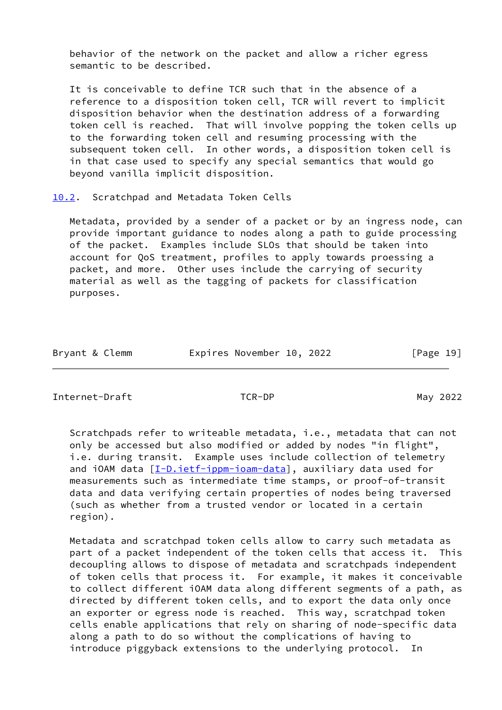behavior of the network on the packet and allow a richer egress semantic to be described.

 It is conceivable to define TCR such that in the absence of a reference to a disposition token cell, TCR will revert to implicit disposition behavior when the destination address of a forwarding token cell is reached. That will involve popping the token cells up to the forwarding token cell and resuming processing with the subsequent token cell. In other words, a disposition token cell is in that case used to specify any special semantics that would go beyond vanilla implicit disposition.

<span id="page-21-0"></span>[10.2](#page-21-0). Scratchpad and Metadata Token Cells

 Metadata, provided by a sender of a packet or by an ingress node, can provide important guidance to nodes along a path to guide processing of the packet. Examples include SLOs that should be taken into account for QoS treatment, profiles to apply towards proessing a packet, and more. Other uses include the carrying of security material as well as the tagging of packets for classification purposes.

| Bryant & Clemm | Expires November 10, 2022 |  | [Page 19] |
|----------------|---------------------------|--|-----------|
|----------------|---------------------------|--|-----------|

Internet-Draft TCR-DP May 2022

 Scratchpads refer to writeable metadata, i.e., metadata that can not only be accessed but also modified or added by nodes "in flight", i.e. during transit. Example uses include collection of telemetry and iOAM data  $[I-D.iett-ippm-ioam-data]$ , auxiliary data used for measurements such as intermediate time stamps, or proof-of-transit data and data verifying certain properties of nodes being traversed (such as whether from a trusted vendor or located in a certain region).

 Metadata and scratchpad token cells allow to carry such metadata as part of a packet independent of the token cells that access it. This decoupling allows to dispose of metadata and scratchpads independent of token cells that process it. For example, it makes it conceivable to collect different iOAM data along different segments of a path, as directed by different token cells, and to export the data only once an exporter or egress node is reached. This way, scratchpad token cells enable applications that rely on sharing of node-specific data along a path to do so without the complications of having to introduce piggyback extensions to the underlying protocol. In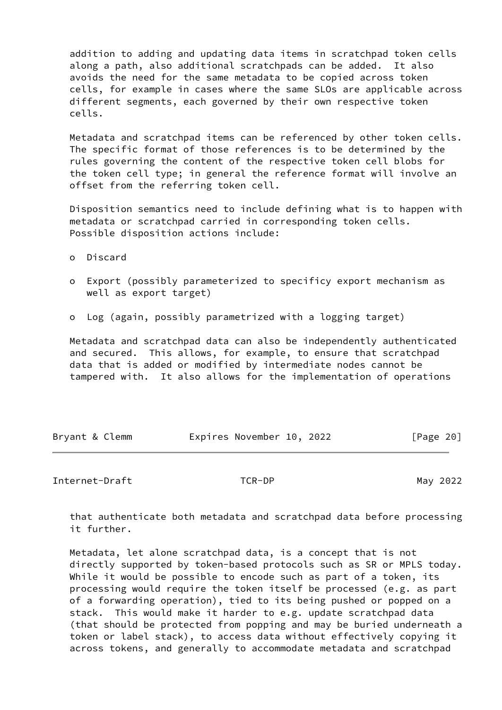addition to adding and updating data items in scratchpad token cells along a path, also additional scratchpads can be added. It also avoids the need for the same metadata to be copied across token cells, for example in cases where the same SLOs are applicable across different segments, each governed by their own respective token cells.

 Metadata and scratchpad items can be referenced by other token cells. The specific format of those references is to be determined by the rules governing the content of the respective token cell blobs for the token cell type; in general the reference format will involve an offset from the referring token cell.

 Disposition semantics need to include defining what is to happen with metadata or scratchpad carried in corresponding token cells. Possible disposition actions include:

- o Discard
- o Export (possibly parameterized to specificy export mechanism as well as export target)
- o Log (again, possibly parametrized with a logging target)

 Metadata and scratchpad data can also be independently authenticated and secured. This allows, for example, to ensure that scratchpad data that is added or modified by intermediate nodes cannot be tampered with. It also allows for the implementation of operations

| Bryant & Clemm | Expires November 10, 2022 | [Page 20] |
|----------------|---------------------------|-----------|
|                |                           |           |

# <span id="page-22-0"></span>Internet-Draft TCR-DP TO TER-DP May 2022

 that authenticate both metadata and scratchpad data before processing it further.

 Metadata, let alone scratchpad data, is a concept that is not directly supported by token-based protocols such as SR or MPLS today. While it would be possible to encode such as part of a token, its processing would require the token itself be processed (e.g. as part of a forwarding operation), tied to its being pushed or popped on a stack. This would make it harder to e.g. update scratchpad data (that should be protected from popping and may be buried underneath a token or label stack), to access data without effectively copying it across tokens, and generally to accommodate metadata and scratchpad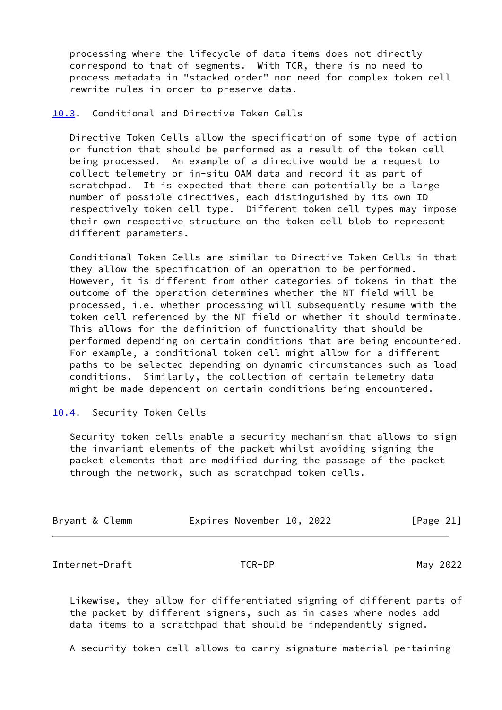processing where the lifecycle of data items does not directly correspond to that of segments. With TCR, there is no need to process metadata in "stacked order" nor need for complex token cell rewrite rules in order to preserve data.

# <span id="page-23-0"></span>[10.3](#page-23-0). Conditional and Directive Token Cells

 Directive Token Cells allow the specification of some type of action or function that should be performed as a result of the token cell being processed. An example of a directive would be a request to collect telemetry or in-situ OAM data and record it as part of scratchpad. It is expected that there can potentially be a large number of possible directives, each distinguished by its own ID respectively token cell type. Different token cell types may impose their own respective structure on the token cell blob to represent different parameters.

 Conditional Token Cells are similar to Directive Token Cells in that they allow the specification of an operation to be performed. However, it is different from other categories of tokens in that the outcome of the operation determines whether the NT field will be processed, i.e. whether processing will subsequently resume with the token cell referenced by the NT field or whether it should terminate. This allows for the definition of functionality that should be performed depending on certain conditions that are being encountered. For example, a conditional token cell might allow for a different paths to be selected depending on dynamic circumstances such as load conditions. Similarly, the collection of certain telemetry data might be made dependent on certain conditions being encountered.

### <span id="page-23-1"></span>[10.4](#page-23-1). Security Token Cells

 Security token cells enable a security mechanism that allows to sign the invariant elements of the packet whilst avoiding signing the packet elements that are modified during the passage of the packet through the network, such as scratchpad token cells.

| Bryant & Clemm | Expires November 10, 2022 |  |  |  | [Page 21] |  |
|----------------|---------------------------|--|--|--|-----------|--|
|----------------|---------------------------|--|--|--|-----------|--|

Internet-Draft TCR-DP May 2022

 Likewise, they allow for differentiated signing of different parts of the packet by different signers, such as in cases where nodes add data items to a scratchpad that should be independently signed.

A security token cell allows to carry signature material pertaining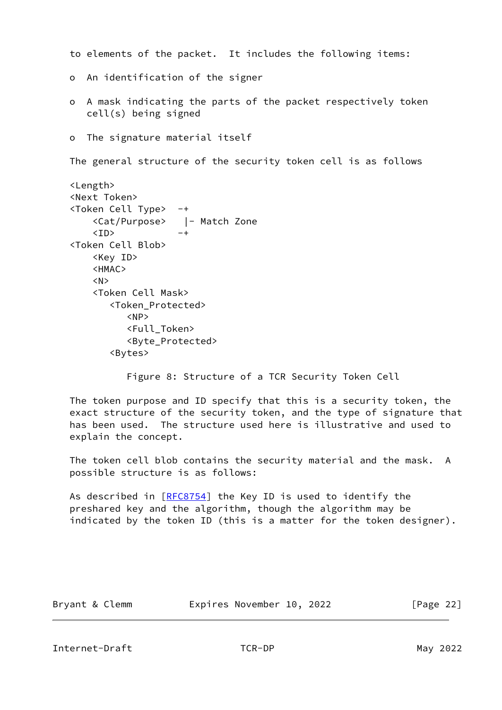to elements of the packet. It includes the following items: o An identification of the signer o A mask indicating the parts of the packet respectively token cell(s) being signed o The signature material itself The general structure of the security token cell is as follows <Length> <Next Token> <Token Cell Type> -+ <Cat/Purpose> |- Match Zone  $\langle$ ID>  $-+$  <Token Cell Blob> <Key ID> <HMAC> <N> <Token Cell Mask> <Token\_Protected> <NP> <Full\_Token> <Byte\_Protected> <Bytes> Figure 8: Structure of a TCR Security Token Cell

 The token purpose and ID specify that this is a security token, the exact structure of the security token, and the type of signature that has been used. The structure used here is illustrative and used to explain the concept.

 The token cell blob contains the security material and the mask. A possible structure is as follows:

As described in [\[RFC8754](https://datatracker.ietf.org/doc/pdf/rfc8754)] the Key ID is used to identify the preshared key and the algorithm, though the algorithm may be indicated by the token ID (this is a matter for the token designer).

<span id="page-24-0"></span>

| Bryant & Clemm | Expires November 10, 2022 | [Page 22] |
|----------------|---------------------------|-----------|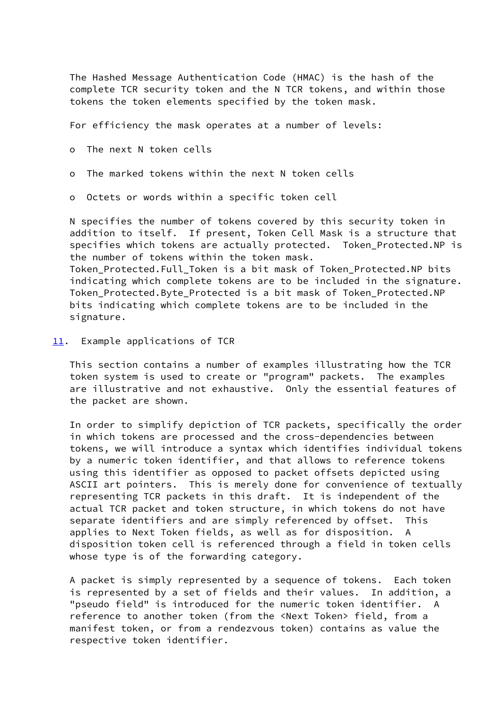The Hashed Message Authentication Code (HMAC) is the hash of the complete TCR security token and the N TCR tokens, and within those tokens the token elements specified by the token mask.

For efficiency the mask operates at a number of levels:

- o The next N token cells
- o The marked tokens within the next N token cells
- o Octets or words within a specific token cell

 N specifies the number of tokens covered by this security token in addition to itself. If present, Token Cell Mask is a structure that specifies which tokens are actually protected. Token Protected.NP is the number of tokens within the token mask. Token Protected.Full Token is a bit mask of Token Protected.NP bits indicating which complete tokens are to be included in the signature. Token\_Protected.Byte\_Protected is a bit mask of Token\_Protected.NP bits indicating which complete tokens are to be included in the

<span id="page-25-0"></span>[11.](#page-25-0) Example applications of TCR

signature.

 This section contains a number of examples illustrating how the TCR token system is used to create or "program" packets. The examples are illustrative and not exhaustive. Only the essential features of the packet are shown.

 In order to simplify depiction of TCR packets, specifically the order in which tokens are processed and the cross-dependencies between tokens, we will introduce a syntax which identifies individual tokens by a numeric token identifier, and that allows to reference tokens using this identifier as opposed to packet offsets depicted using ASCII art pointers. This is merely done for convenience of textually representing TCR packets in this draft. It is independent of the actual TCR packet and token structure, in which tokens do not have separate identifiers and are simply referenced by offset. This applies to Next Token fields, as well as for disposition. A disposition token cell is referenced through a field in token cells whose type is of the forwarding category.

 A packet is simply represented by a sequence of tokens. Each token is represented by a set of fields and their values. In addition, a "pseudo field" is introduced for the numeric token identifier. A reference to another token (from the <Next Token> field, from a manifest token, or from a rendezvous token) contains as value the respective token identifier.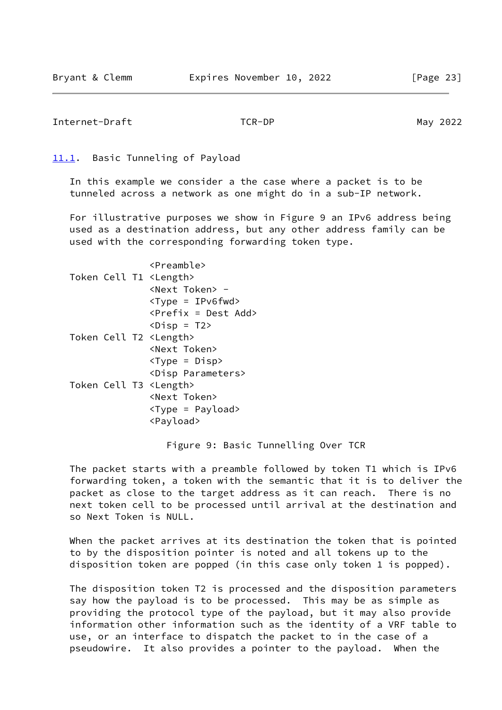```
Internet-Draft TCR-DP May 2022
```
### <span id="page-26-0"></span>[11.1](#page-26-0). Basic Tunneling of Payload

 In this example we consider a the case where a packet is to be tunneled across a network as one might do in a sub-IP network.

 For illustrative purposes we show in Figure 9 an IPv6 address being used as a destination address, but any other address family can be used with the corresponding forwarding token type.

|  |  | <preamble></preamble>                 |
|--|--|---------------------------------------|
|  |  | Token Cell T1 <length></length>       |
|  |  | <next token=""> -</next>              |
|  |  | $<$ Type = IPv6fwd>                   |
|  |  | <prefix =="" add="" dest=""></prefix> |
|  |  | $\langle \text{Disp} = T2 \rangle$    |
|  |  | Token Cell T2 <length></length>       |
|  |  | <next token=""></next>                |
|  |  | $<$ Type = Disp>                      |
|  |  | <disp parameters=""></disp>           |
|  |  | Token Cell T3 <length></length>       |
|  |  | <next token=""></next>                |
|  |  | <type =="" payload=""></type>         |
|  |  | <payload></payload>                   |
|  |  |                                       |

Figure 9: Basic Tunnelling Over TCR

 The packet starts with a preamble followed by token T1 which is IPv6 forwarding token, a token with the semantic that it is to deliver the packet as close to the target address as it can reach. There is no next token cell to be processed until arrival at the destination and so Next Token is NULL.

 When the packet arrives at its destination the token that is pointed to by the disposition pointer is noted and all tokens up to the disposition token are popped (in this case only token 1 is popped).

 The disposition token T2 is processed and the disposition parameters say how the payload is to be processed. This may be as simple as providing the protocol type of the payload, but it may also provide information other information such as the identity of a VRF table to use, or an interface to dispatch the packet to in the case of a pseudowire. It also provides a pointer to the payload. When the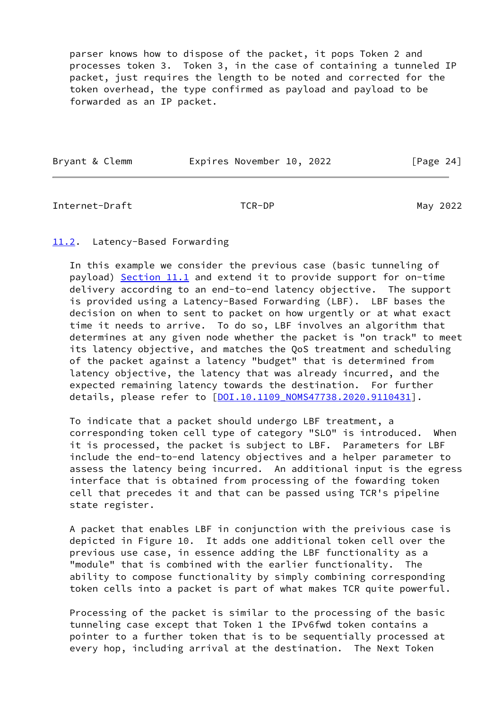parser knows how to dispose of the packet, it pops Token 2 and processes token 3. Token 3, in the case of containing a tunneled IP packet, just requires the length to be noted and corrected for the token overhead, the type confirmed as payload and payload to be forwarded as an IP packet.

| Bryant & Clemm | Expires November 10, 2022 |  | [Page 24] |  |
|----------------|---------------------------|--|-----------|--|

<span id="page-27-1"></span>Internet-Draft TCR-DP May 2022

# <span id="page-27-0"></span>[11.2](#page-27-0). Latency-Based Forwarding

 In this example we consider the previous case (basic tunneling of payload) [Section 11.1](#page-26-0) and extend it to provide support for on-time delivery according to an end-to-end latency objective. The support is provided using a Latency-Based Forwarding (LBF). LBF bases the decision on when to sent to packet on how urgently or at what exact time it needs to arrive. To do so, LBF involves an algorithm that determines at any given node whether the packet is "on track" to meet its latency objective, and matches the QoS treatment and scheduling of the packet against a latency "budget" that is determined from latency objective, the latency that was already incurred, and the expected remaining latency towards the destination. For further details, please refer to [\[DOI.10.1109\\_NOMS47738.2020.9110431\]](#page-42-5).

 To indicate that a packet should undergo LBF treatment, a corresponding token cell type of category "SLO" is introduced. When it is processed, the packet is subject to LBF. Parameters for LBF include the end-to-end latency objectives and a helper parameter to assess the latency being incurred. An additional input is the egress interface that is obtained from processing of the fowarding token cell that precedes it and that can be passed using TCR's pipeline state register.

 A packet that enables LBF in conjunction with the preivious case is depicted in Figure 10. It adds one additional token cell over the previous use case, in essence adding the LBF functionality as a "module" that is combined with the earlier functionality. The ability to compose functionality by simply combining corresponding token cells into a packet is part of what makes TCR quite powerful.

 Processing of the packet is similar to the processing of the basic tunneling case except that Token 1 the IPv6fwd token contains a pointer to a further token that is to be sequentially processed at every hop, including arrival at the destination. The Next Token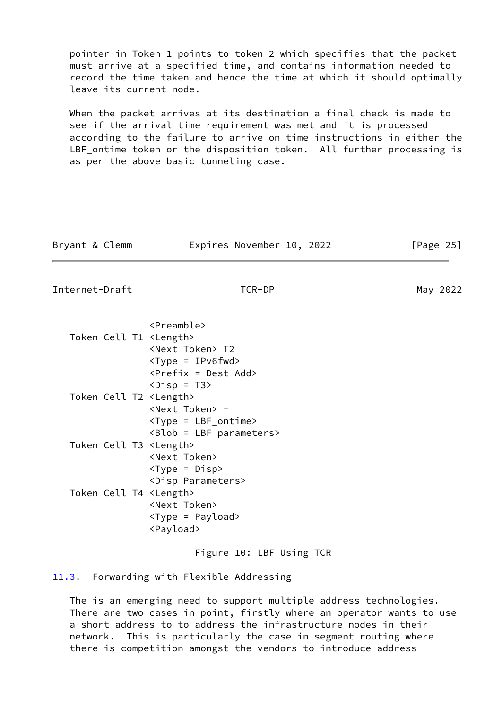pointer in Token 1 points to token 2 which specifies that the packet must arrive at a specified time, and contains information needed to record the time taken and hence the time at which it should optimally leave its current node.

When the packet arrives at its destination a final check is made to see if the arrival time requirement was met and it is processed according to the failure to arrive on time instructions in either the LBF\_ontime token or the disposition token. All further processing is as per the above basic tunneling case.

| Bryant & Clemm | Expires November 10, 2022 | [Page 25] |
|----------------|---------------------------|-----------|
|                |                           |           |

<span id="page-28-1"></span>Internet-Draft TCR-DP TO May 2022

|                                 | <preamble></preamble>                          |
|---------------------------------|------------------------------------------------|
| Token Cell T1 <length></length> |                                                |
|                                 | <next token=""> T2</next>                      |
|                                 | $<$ Type = IPv6fwd>                            |
|                                 | <prefix =="" add="" dest=""></prefix>          |
|                                 | $\langle \text{Disp} = \text{T3} \rangle$      |
| Token Cell T2 <length></length> |                                                |
|                                 | <next token=""> -</next>                       |
|                                 | $<$ Type = $LBF_$ ontime>                      |
|                                 | <blob =="" lbf="" parameters=""></blob>        |
| Token Cell T3 <length></length> |                                                |
|                                 | <next token=""></next>                         |
|                                 | <type =="" disp=""></type>                     |
|                                 | <disp parameters=""></disp>                    |
| Token Cell T4 <length></length> |                                                |
|                                 | <next token=""></next>                         |
|                                 | $\langle \text{Type} = \text{Payload} \rangle$ |
|                                 | <payload></payload>                            |

Figure 10: LBF Using TCR

<span id="page-28-0"></span>[11.3](#page-28-0). Forwarding with Flexible Addressing

 The is an emerging need to support multiple address technologies. There are two cases in point, firstly where an operator wants to use a short address to to address the infrastructure nodes in their network. This is particularly the case in segment routing where there is competition amongst the vendors to introduce address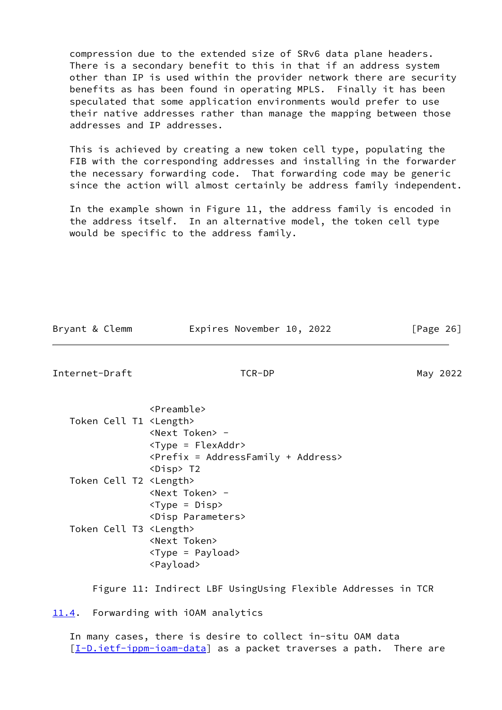compression due to the extended size of SRv6 data plane headers. There is a secondary benefit to this in that if an address system other than IP is used within the provider network there are security benefits as has been found in operating MPLS. Finally it has been speculated that some application environments would prefer to use their native addresses rather than manage the mapping between those addresses and IP addresses.

 This is achieved by creating a new token cell type, populating the FIB with the corresponding addresses and installing in the forwarder the necessary forwarding code. That forwarding code may be generic since the action will almost certainly be address family independent.

 In the example shown in Figure 11, the address family is encoded in the address itself. In an alternative model, the token cell type would be specific to the address family.

<span id="page-29-1"></span>

| Bryant & Clemm                  | Expires November 10, 2022                                                                                                                               | [Page 26] |
|---------------------------------|---------------------------------------------------------------------------------------------------------------------------------------------------------|-----------|
| Internet-Draft                  | TCR-DP                                                                                                                                                  | May 2022  |
| Token Cell T1 <length></length> | <preamble><br/><next token=""> -<br/><math>&lt;</math>Type = FlexAddr&gt;<br/><prefix +="" =="" address="" addressfamily=""></prefix></next></preamble> |           |
| Token Cell T2 <length></length> | <disp> T2<br/><next token=""> -<br/><math>&lt;</math>Type = Disp&gt;</next></disp>                                                                      |           |
| Token Cell T3 <length></length> | <disp parameters=""><br/><next token=""><br/><type =="" payload=""><br/><payload></payload></type></next></disp>                                        |           |
|                                 | Figure 11: Indirect LBF UsingUsing Flexible Addresses in TCR                                                                                            |           |
| 11.4.                           | Forwarding with iOAM analytics                                                                                                                          |           |

<span id="page-29-0"></span> In many cases, there is desire to collect in-situ OAM data [\[I-D.ietf-ippm-ioam-data](#page-43-1)] as a packet traverses a path. There are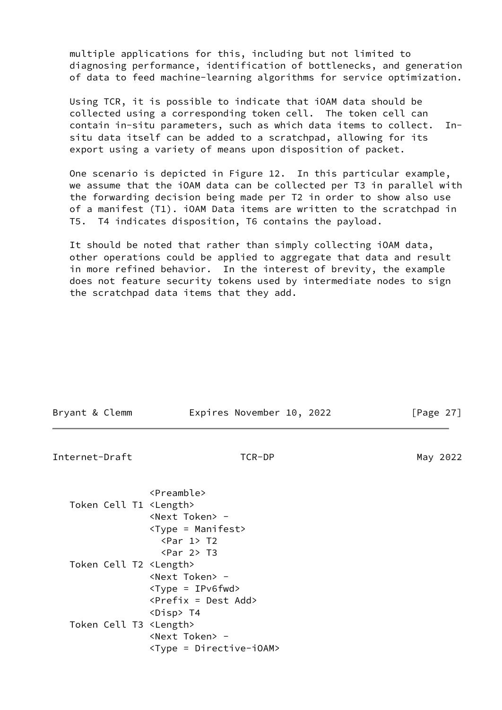multiple applications for this, including but not limited to diagnosing performance, identification of bottlenecks, and generation of data to feed machine-learning algorithms for service optimization.

 Using TCR, it is possible to indicate that iOAM data should be collected using a corresponding token cell. The token cell can contain in-situ parameters, such as which data items to collect. In situ data itself can be added to a scratchpad, allowing for its export using a variety of means upon disposition of packet.

 One scenario is depicted in Figure 12. In this particular example, we assume that the iOAM data can be collected per T3 in parallel with the forwarding decision being made per T2 in order to show also use of a manifest (T1). iOAM Data items are written to the scratchpad in T5. T4 indicates disposition, T6 contains the payload.

 It should be noted that rather than simply collecting iOAM data, other operations could be applied to aggregate that data and result in more refined behavior. In the interest of brevity, the example does not feature security tokens used by intermediate nodes to sign the scratchpad data items that they add.

| Bryant & Clemm                  | Expires November 10, 2022                                                                                               | [Page $27$ ] |
|---------------------------------|-------------------------------------------------------------------------------------------------------------------------|--------------|
| Internet-Draft                  | TCR-DP                                                                                                                  | May 2022     |
| Token Cell T1 <length></length> | <preamble><br/><next token=""> -<br/><type =="" manifest=""></type></next></preamble>                                   |              |
| Token Cell T2 <length></length> | $\langle Par \ 1 \rangle$ T2<br>$\text{~Par}$ 2> T3<br><next token=""> -<br/><math>&lt;</math>Type = IPv6fwd&gt;</next> |              |
| Token Cell T3 <length></length> | $\langle$ Prefix = Dest Add><br><disp> T4<br/><next token=""> -<br/><type =="" directive-ioam=""></type></next></disp>  |              |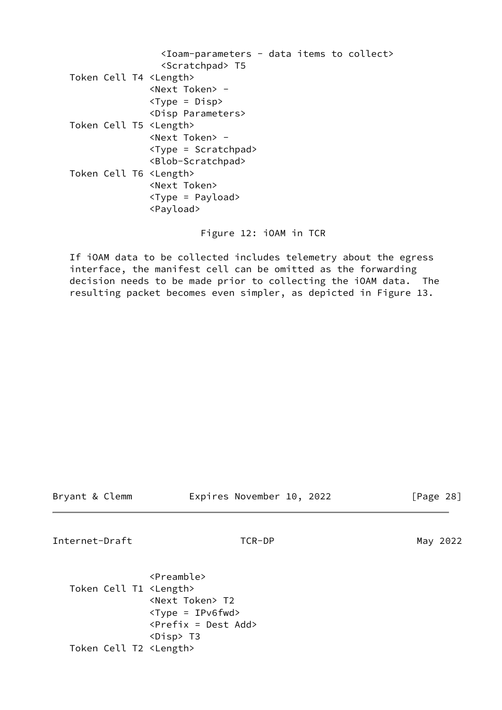|                                 | <ioam-parameters -="" collect="" data="" items="" to=""></ioam-parameters> |  |  |
|---------------------------------|----------------------------------------------------------------------------|--|--|
|                                 | <scratchpad> T5</scratchpad>                                               |  |  |
| Token Cell T4 <length></length> |                                                                            |  |  |
|                                 | <next token=""> -</next>                                                   |  |  |
|                                 | $<$ Type = Disp>                                                           |  |  |
|                                 | <disp parameters=""></disp>                                                |  |  |
| Token Cell T5 <length></length> |                                                                            |  |  |
|                                 | $\langle$ Next Token $\rangle$ -                                           |  |  |
|                                 | $\langle \text{Type} = \text{Scratchpad} \rangle$                          |  |  |
|                                 | <blob-scratchpad></blob-scratchpad>                                        |  |  |
| Token Cell T6 <length></length> |                                                                            |  |  |
|                                 | <next token=""></next>                                                     |  |  |
|                                 | $<$ Type = Payload>                                                        |  |  |
|                                 | <payload></payload>                                                        |  |  |
|                                 |                                                                            |  |  |

Figure 12: iOAM in TCR

 If iOAM data to be collected includes telemetry about the egress interface, the manifest cell can be omitted as the forwarding decision needs to be made prior to collecting the iOAM data. The resulting packet becomes even simpler, as depicted in Figure 13.

| Bryant & Clemm |  |  |
|----------------|--|--|
|----------------|--|--|

Expires November 10, 2022 [Page 28]

Internet-Draft TCR-DP TO TO May 2022

 <Preamble> Token Cell T1 <Length> <Next Token> T2 <Type = IPv6fwd> <Prefix = Dest Add> <Disp> T3 Token Cell T2 <Length>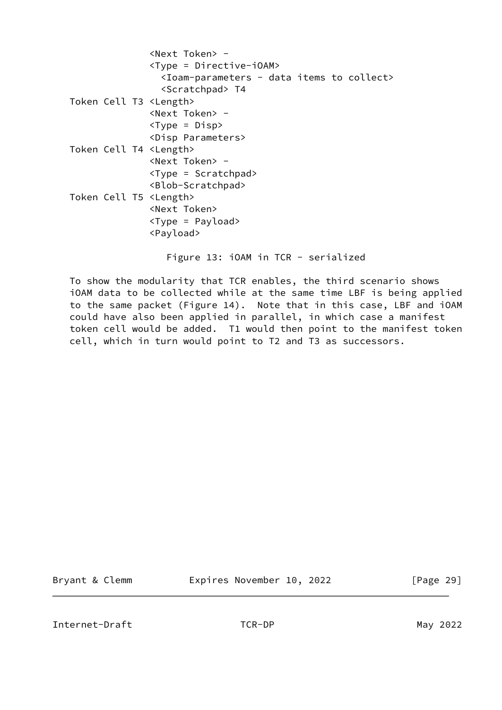|                                 | <next token=""> -</next>                                                   |
|---------------------------------|----------------------------------------------------------------------------|
|                                 | <type =="" directive-ioam=""></type>                                       |
|                                 | <ioam-parameters -="" collect="" data="" items="" to=""></ioam-parameters> |
|                                 | <scratchpad> T4</scratchpad>                                               |
| Token Cell T3 <length></length> |                                                                            |
|                                 | <next token=""> -</next>                                                   |
|                                 | $\langle \text{Type} = \text{Disp} \rangle$                                |
|                                 | <disp parameters=""></disp>                                                |
| Token Cell T4 <length></length> |                                                                            |
|                                 | <next token=""> -</next>                                                   |
|                                 | $\langle \text{Type} = \text{Scratchpad} \rangle$                          |
|                                 | <blob-scratchpad></blob-scratchpad>                                        |
| Token Cell T5 <length></length> |                                                                            |
|                                 | <next token=""></next>                                                     |
|                                 | $\langle \text{Type} = \text{Payload} \rangle$                             |
|                                 | <payload></payload>                                                        |
|                                 |                                                                            |

Figure 13: iOAM in TCR - serialized

 To show the modularity that TCR enables, the third scenario shows iOAM data to be collected while at the same time LBF is being applied to the same packet (Figure 14). Note that in this case, LBF and iOAM could have also been applied in parallel, in which case a manifest token cell would be added. T1 would then point to the manifest token cell, which in turn would point to T2 and T3 as successors.

Bryant & Clemm **Expires November 10, 2022** [Page 29]

<span id="page-32-0"></span>Internet-Draft TCR-DP May 2022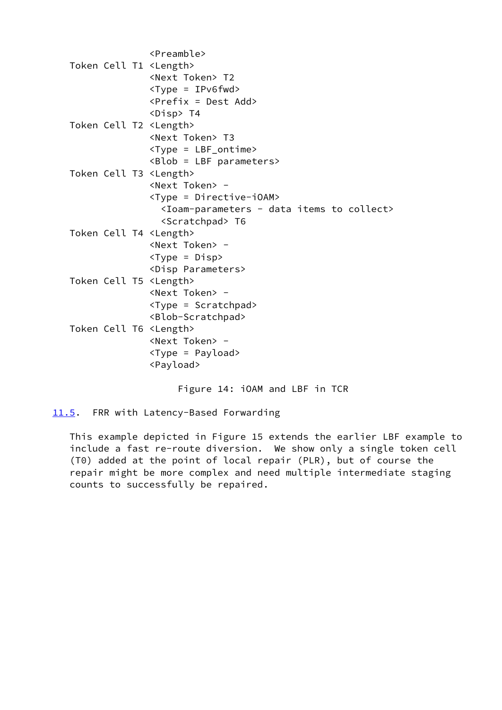```
 <Preamble>
Token Cell T1 <Length>
                <Next Token> T2
                <Type = IPv6fwd>
                <Prefix = Dest Add>
                <Disp> T4
Token Cell T2 <Length>
                <Next Token> T3
                <Type = LBF_ontime>
                <Blob = LBF parameters>
Token Cell T3 <Length>
                <Next Token> -
                <Type = Directive-iOAM>
                  <Ioam-parameters - data items to collect>
                  <Scratchpad> T6
Token Cell T4 <Length>
                <Next Token> -
               \langle \text{Type} = \text{Disp} \rangle <Disp Parameters>
Token Cell T5 <Length>
                <Next Token> -
                <Type = Scratchpad>
                <Blob-Scratchpad>
Token Cell T6 <Length>
                <Next Token> -
                <Type = Payload>
                <Payload>
```
Figure 14: iOAM and LBF in TCR

<span id="page-33-0"></span>[11.5](#page-33-0). FRR with Latency-Based Forwarding

 This example depicted in Figure 15 extends the earlier LBF example to include a fast re-route diversion. We show only a single token cell (T0) added at the point of local repair (PLR), but of course the repair might be more complex and need multiple intermediate staging counts to successfully be repaired.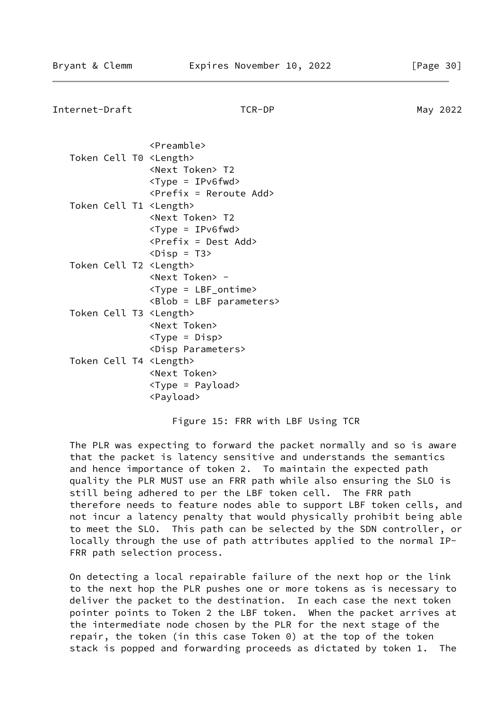Internet-Draft TCR-DP May 2022

|                                 | <preamble></preamble>                     |
|---------------------------------|-------------------------------------------|
| Token Cell T0 <length></length> |                                           |
|                                 | <next token=""> T2</next>                 |
|                                 | <type =="" ipv6fwd=""></type>             |
|                                 | <prefix =="" add="" reroute=""></prefix>  |
| Token Cell T1 <length></length> |                                           |
|                                 | <next token=""> T2</next>                 |
|                                 | <type =="" ipv6fwd=""></type>             |
|                                 | <prefix =="" add="" dest=""></prefix>     |
|                                 | $\langle \text{Disp} = \text{T3} \rangle$ |
| Token Cell T2 <length></length> |                                           |
|                                 | <next token=""> -</next>                  |
|                                 | <type =="" lbf_ontime=""></type>          |
|                                 | <blob =="" lbf="" parameters=""></blob>   |
| Token Cell T3 <length></length> |                                           |
|                                 | <next token=""></next>                    |
|                                 | <type =="" disp=""></type>                |
|                                 | <disp parameters=""></disp>               |
| Token Cell T4 <length></length> |                                           |
|                                 | <next token=""></next>                    |
|                                 | <type =="" payload=""></type>             |
|                                 | <payload></payload>                       |

Figure 15: FRR with LBF Using TCR

 The PLR was expecting to forward the packet normally and so is aware that the packet is latency sensitive and understands the semantics and hence importance of token 2. To maintain the expected path quality the PLR MUST use an FRR path while also ensuring the SLO is still being adhered to per the LBF token cell. The FRR path therefore needs to feature nodes able to support LBF token cells, and not incur a latency penalty that would physically prohibit being able to meet the SLO. This path can be selected by the SDN controller, or locally through the use of path attributes applied to the normal IP- FRR path selection process.

 On detecting a local repairable failure of the next hop or the link to the next hop the PLR pushes one or more tokens as is necessary to deliver the packet to the destination. In each case the next token pointer points to Token 2 the LBF token. When the packet arrives at the intermediate node chosen by the PLR for the next stage of the repair, the token (in this case Token 0) at the top of the token stack is popped and forwarding proceeds as dictated by token 1. The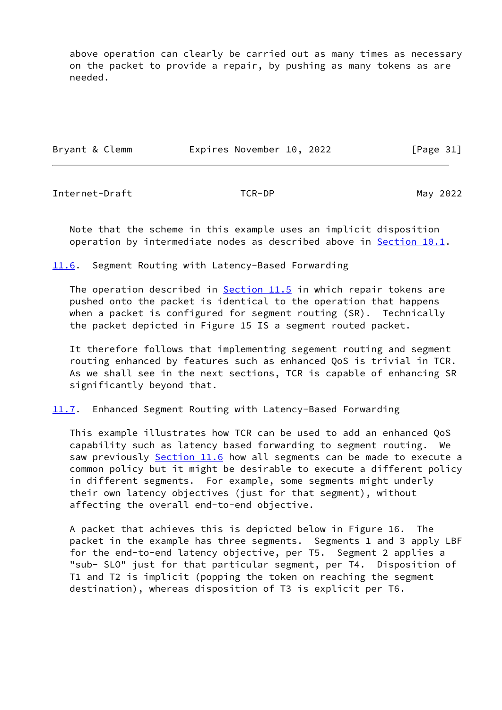above operation can clearly be carried out as many times as necessary on the packet to provide a repair, by pushing as many tokens as are needed.

| Bryant & Clemm | Expires November 10, 2022 |  | [Page 31] |
|----------------|---------------------------|--|-----------|
|----------------|---------------------------|--|-----------|

<span id="page-35-1"></span>Internet-Draft TCR-DP May 2022

 Note that the scheme in this example uses an implicit disposition operation by intermediate nodes as described above in [Section 10.1](#page-20-2).

<span id="page-35-0"></span>[11.6](#page-35-0). Segment Routing with Latency-Based Forwarding

The operation described in [Section 11.5](#page-33-0) in which repair tokens are pushed onto the packet is identical to the operation that happens when a packet is configured for segment routing (SR). Technically the packet depicted in Figure 15 IS a segment routed packet.

 It therefore follows that implementing segement routing and segment routing enhanced by features such as enhanced QoS is trivial in TCR. As we shall see in the next sections, TCR is capable of enhancing SR significantly beyond that.

<span id="page-35-2"></span>[11.7](#page-35-2). Enhanced Segment Routing with Latency-Based Forwarding

 This example illustrates how TCR can be used to add an enhanced QoS capability such as latency based forwarding to segment routing. We saw previously [Section 11.6](#page-35-0) how all segments can be made to execute a common policy but it might be desirable to execute a different policy in different segments. For example, some segments might underly their own latency objectives (just for that segment), without affecting the overall end-to-end objective.

 A packet that achieves this is depicted below in Figure 16. The packet in the example has three segments. Segments 1 and 3 apply LBF for the end-to-end latency objective, per T5. Segment 2 applies a "sub- SLO" just for that particular segment, per T4. Disposition of T1 and T2 is implicit (popping the token on reaching the segment destination), whereas disposition of T3 is explicit per T6.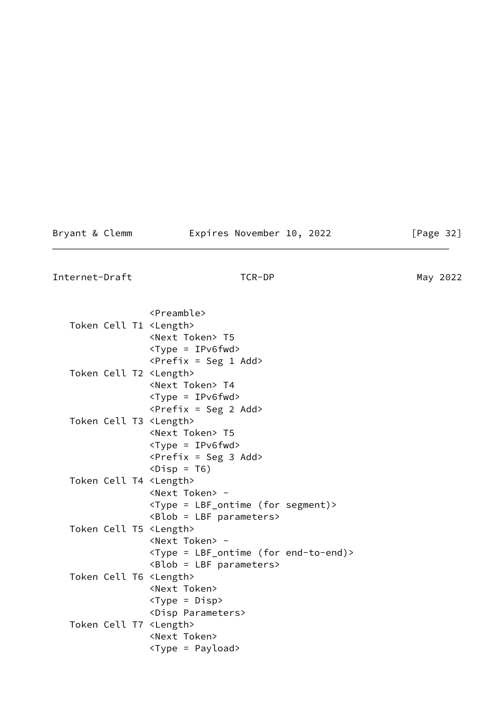# Bryant & Clemm **Expires November 10, 2022** [Page 32]

<span id="page-36-0"></span>Internet-Draft TCR-DP TO TO May 2022

| <preamble><br/>Token Cell T1 <length><br/><next token=""> T5<br/><math>&lt;</math>Type = IPv6fwd&gt;<br/><math>\langle</math>Prefix = Seg 1 Add&gt;<br/>Token Cell T2 <length><br/><next token=""> T4<br/><math>&lt;</math>Type = IPv6fwd&gt;<br/><prefix 2="" =="" add="" seg=""><br/>Token Cell T3 <length><br/><next token=""> T5<br/><math>&lt;</math>Type = IPv6fwd&gt;<br/><math>\langle \text{Prefix} = \text{Seg } 3 \text{ Add} \rangle</math><br/><math>\langle \text{Disp} = \text{To} \rangle</math><br/>Token Cell T4 <length><br/><next token=""> -<br/><type (for="" =="" lbf_ontime="" segment)=""><br/><math>\langle \text{Blob} = \text{LBF parameters} \rangle</math><br/>Token Cell T5 <length><br/><next token=""> -<br/><type (for="" =="" end-to-end)="" lbf_ontime=""><br/><math>\langle \text{Blob} = \text{LBF parameters} \rangle</math><br/>Token Cell T6 <length><br/><next token=""><br/><type =="" disp=""><br/><disp parameters=""><br/>Token Cell T7 <length><br/><next token=""></next></length></disp></type></next></length></type></next></length></type></next></length></next></length></prefix></next></length></next></length></preamble> |  |
|------------------------------------------------------------------------------------------------------------------------------------------------------------------------------------------------------------------------------------------------------------------------------------------------------------------------------------------------------------------------------------------------------------------------------------------------------------------------------------------------------------------------------------------------------------------------------------------------------------------------------------------------------------------------------------------------------------------------------------------------------------------------------------------------------------------------------------------------------------------------------------------------------------------------------------------------------------------------------------------------------------------------------------------------------------------------------------------------------------------------------------------------------------------------------------|--|
|                                                                                                                                                                                                                                                                                                                                                                                                                                                                                                                                                                                                                                                                                                                                                                                                                                                                                                                                                                                                                                                                                                                                                                                    |  |
|                                                                                                                                                                                                                                                                                                                                                                                                                                                                                                                                                                                                                                                                                                                                                                                                                                                                                                                                                                                                                                                                                                                                                                                    |  |
|                                                                                                                                                                                                                                                                                                                                                                                                                                                                                                                                                                                                                                                                                                                                                                                                                                                                                                                                                                                                                                                                                                                                                                                    |  |
|                                                                                                                                                                                                                                                                                                                                                                                                                                                                                                                                                                                                                                                                                                                                                                                                                                                                                                                                                                                                                                                                                                                                                                                    |  |
|                                                                                                                                                                                                                                                                                                                                                                                                                                                                                                                                                                                                                                                                                                                                                                                                                                                                                                                                                                                                                                                                                                                                                                                    |  |
|                                                                                                                                                                                                                                                                                                                                                                                                                                                                                                                                                                                                                                                                                                                                                                                                                                                                                                                                                                                                                                                                                                                                                                                    |  |
|                                                                                                                                                                                                                                                                                                                                                                                                                                                                                                                                                                                                                                                                                                                                                                                                                                                                                                                                                                                                                                                                                                                                                                                    |  |
|                                                                                                                                                                                                                                                                                                                                                                                                                                                                                                                                                                                                                                                                                                                                                                                                                                                                                                                                                                                                                                                                                                                                                                                    |  |
|                                                                                                                                                                                                                                                                                                                                                                                                                                                                                                                                                                                                                                                                                                                                                                                                                                                                                                                                                                                                                                                                                                                                                                                    |  |
|                                                                                                                                                                                                                                                                                                                                                                                                                                                                                                                                                                                                                                                                                                                                                                                                                                                                                                                                                                                                                                                                                                                                                                                    |  |
|                                                                                                                                                                                                                                                                                                                                                                                                                                                                                                                                                                                                                                                                                                                                                                                                                                                                                                                                                                                                                                                                                                                                                                                    |  |
|                                                                                                                                                                                                                                                                                                                                                                                                                                                                                                                                                                                                                                                                                                                                                                                                                                                                                                                                                                                                                                                                                                                                                                                    |  |
|                                                                                                                                                                                                                                                                                                                                                                                                                                                                                                                                                                                                                                                                                                                                                                                                                                                                                                                                                                                                                                                                                                                                                                                    |  |
|                                                                                                                                                                                                                                                                                                                                                                                                                                                                                                                                                                                                                                                                                                                                                                                                                                                                                                                                                                                                                                                                                                                                                                                    |  |
|                                                                                                                                                                                                                                                                                                                                                                                                                                                                                                                                                                                                                                                                                                                                                                                                                                                                                                                                                                                                                                                                                                                                                                                    |  |
|                                                                                                                                                                                                                                                                                                                                                                                                                                                                                                                                                                                                                                                                                                                                                                                                                                                                                                                                                                                                                                                                                                                                                                                    |  |
|                                                                                                                                                                                                                                                                                                                                                                                                                                                                                                                                                                                                                                                                                                                                                                                                                                                                                                                                                                                                                                                                                                                                                                                    |  |
|                                                                                                                                                                                                                                                                                                                                                                                                                                                                                                                                                                                                                                                                                                                                                                                                                                                                                                                                                                                                                                                                                                                                                                                    |  |
|                                                                                                                                                                                                                                                                                                                                                                                                                                                                                                                                                                                                                                                                                                                                                                                                                                                                                                                                                                                                                                                                                                                                                                                    |  |
|                                                                                                                                                                                                                                                                                                                                                                                                                                                                                                                                                                                                                                                                                                                                                                                                                                                                                                                                                                                                                                                                                                                                                                                    |  |
|                                                                                                                                                                                                                                                                                                                                                                                                                                                                                                                                                                                                                                                                                                                                                                                                                                                                                                                                                                                                                                                                                                                                                                                    |  |
|                                                                                                                                                                                                                                                                                                                                                                                                                                                                                                                                                                                                                                                                                                                                                                                                                                                                                                                                                                                                                                                                                                                                                                                    |  |
|                                                                                                                                                                                                                                                                                                                                                                                                                                                                                                                                                                                                                                                                                                                                                                                                                                                                                                                                                                                                                                                                                                                                                                                    |  |
|                                                                                                                                                                                                                                                                                                                                                                                                                                                                                                                                                                                                                                                                                                                                                                                                                                                                                                                                                                                                                                                                                                                                                                                    |  |
|                                                                                                                                                                                                                                                                                                                                                                                                                                                                                                                                                                                                                                                                                                                                                                                                                                                                                                                                                                                                                                                                                                                                                                                    |  |
|                                                                                                                                                                                                                                                                                                                                                                                                                                                                                                                                                                                                                                                                                                                                                                                                                                                                                                                                                                                                                                                                                                                                                                                    |  |
|                                                                                                                                                                                                                                                                                                                                                                                                                                                                                                                                                                                                                                                                                                                                                                                                                                                                                                                                                                                                                                                                                                                                                                                    |  |
| <type =="" payload=""></type>                                                                                                                                                                                                                                                                                                                                                                                                                                                                                                                                                                                                                                                                                                                                                                                                                                                                                                                                                                                                                                                                                                                                                      |  |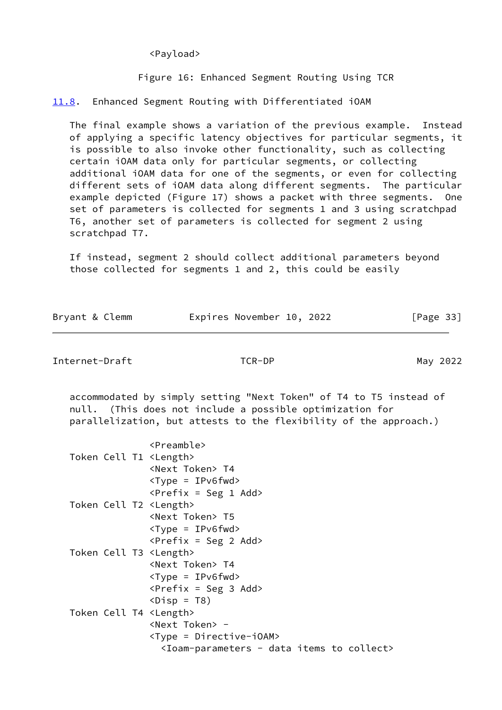<Payload>

Figure 16: Enhanced Segment Routing Using TCR

<span id="page-37-0"></span>[11.8](#page-37-0). Enhanced Segment Routing with Differentiated iOAM

 The final example shows a variation of the previous example. Instead of applying a specific latency objectives for particular segments, it is possible to also invoke other functionality, such as collecting certain iOAM data only for particular segments, or collecting additional iOAM data for one of the segments, or even for collecting different sets of iOAM data along different segments. The particular example depicted (Figure 17) shows a packet with three segments. One set of parameters is collected for segments 1 and 3 using scratchpad T6, another set of parameters is collected for segment 2 using scratchpad T7.

 If instead, segment 2 should collect additional parameters beyond those collected for segments 1 and 2, this could be easily

| Bryant & Clemm | Expires November 10, 2022 | [Page 33] |
|----------------|---------------------------|-----------|
|                |                           |           |

Internet-Draft TCR-DP May 2022

 accommodated by simply setting "Next Token" of T4 to T5 instead of null. (This does not include a possible optimization for parallelization, but attests to the flexibility of the approach.)

|                                 | $\langle$ Preamble>                                                        |
|---------------------------------|----------------------------------------------------------------------------|
| Token Cell T1 <length></length> |                                                                            |
|                                 | <next token=""> T4</next>                                                  |
|                                 | $<$ Type = IPv6fwd>                                                        |
|                                 | $\langle$ Prefix = Seg 1 Add>                                              |
| Token Cell T2 <length></length> |                                                                            |
|                                 | <next token=""> T5</next>                                                  |
|                                 | $<$ Type = IPv6fwd>                                                        |
|                                 | $\langle \text{Prefix} = \text{Seg } 2 \text{ Add} \rangle$                |
| Token Cell T3 <length></length> |                                                                            |
|                                 | <next token=""> T4</next>                                                  |
|                                 | $<$ Type = IPv6fwd>                                                        |
|                                 | $\langle$ Prefix = Seg 3 Add>                                              |
|                                 | $\langle \text{Disp} = \text{TS} \rangle$                                  |
| Token Cell T4 <length></length> |                                                                            |
|                                 | <next token=""> -</next>                                                   |
|                                 | <type =="" directive-ioam=""></type>                                       |
|                                 | <ioam-parameters -="" collect="" data="" items="" to=""></ioam-parameters> |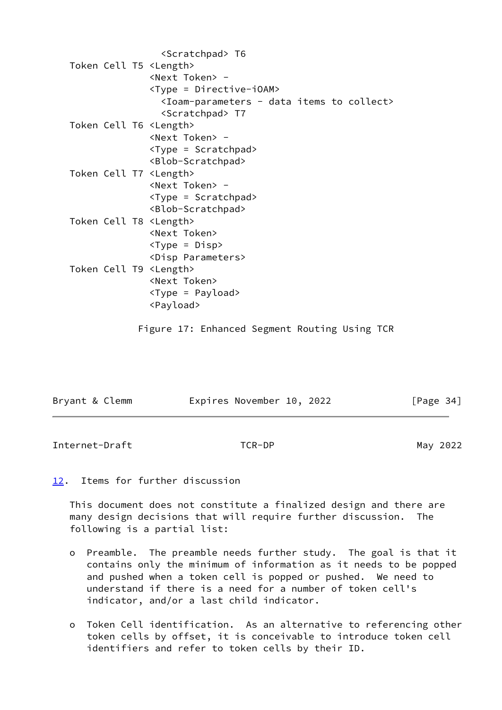| <scratchpad> T6</scratchpad>                                               |
|----------------------------------------------------------------------------|
| Token Cell T5 <length></length>                                            |
| <next token=""> -</next>                                                   |
| <type =="" directive-ioam=""></type>                                       |
| <ioam-parameters -="" collect="" data="" items="" to=""></ioam-parameters> |
| <scratchpad> T7</scratchpad>                                               |
| Token Cell T6 <length></length>                                            |
| <next token=""> -</next>                                                   |
| <type =="" scratchpad=""></type>                                           |
| <blob-scratchpad></blob-scratchpad>                                        |
| Token Cell T7 <length></length>                                            |
| <next token=""> -</next>                                                   |
| <type =="" scratchpad=""></type>                                           |
| <blob-scratchpad></blob-scratchpad>                                        |
| Token Cell T8 <length></length>                                            |
| <next token=""></next>                                                     |
| <type =="" disp=""></type>                                                 |
| <disp parameters=""></disp>                                                |
| Token Cell T9 <length></length>                                            |
| <next token=""></next>                                                     |
| <type =="" payload=""></type>                                              |
| <payload></payload>                                                        |
|                                                                            |

Figure 17: Enhanced Segment Routing Using TCR

| Bryant & Clemm | Expires November 10, 2022 | [Page 34] |
|----------------|---------------------------|-----------|
|                |                           |           |

<span id="page-38-1"></span>Internet-Draft TCR-DP May 2022

# <span id="page-38-0"></span>[12.](#page-38-0) Items for further discussion

 This document does not constitute a finalized design and there are many design decisions that will require further discussion. The following is a partial list:

- o Preamble. The preamble needs further study. The goal is that it contains only the minimum of information as it needs to be popped and pushed when a token cell is popped or pushed. We need to understand if there is a need for a number of token cell's indicator, and/or a last child indicator.
- o Token Cell identification. As an alternative to referencing other token cells by offset, it is conceivable to introduce token cell identifiers and refer to token cells by their ID.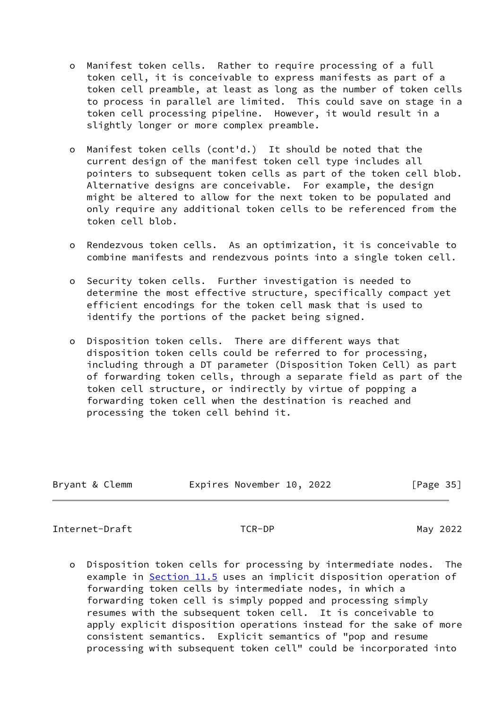- o Manifest token cells. Rather to require processing of a full token cell, it is conceivable to express manifests as part of a token cell preamble, at least as long as the number of token cells to process in parallel are limited. This could save on stage in a token cell processing pipeline. However, it would result in a slightly longer or more complex preamble.
- o Manifest token cells (cont'd.) It should be noted that the current design of the manifest token cell type includes all pointers to subsequent token cells as part of the token cell blob. Alternative designs are conceivable. For example, the design might be altered to allow for the next token to be populated and only require any additional token cells to be referenced from the token cell blob.
- o Rendezvous token cells. As an optimization, it is conceivable to combine manifests and rendezvous points into a single token cell.
- o Security token cells. Further investigation is needed to determine the most effective structure, specifically compact yet efficient encodings for the token cell mask that is used to identify the portions of the packet being signed.
- o Disposition token cells. There are different ways that disposition token cells could be referred to for processing, including through a DT parameter (Disposition Token Cell) as part of forwarding token cells, through a separate field as part of the token cell structure, or indirectly by virtue of popping a forwarding token cell when the destination is reached and processing the token cell behind it.

| Bryant & Clemm | Expires November 10, 2022 | [Page 35] |
|----------------|---------------------------|-----------|

<span id="page-39-0"></span>Internet-Draft TCR-DP TO May 2022

 o Disposition token cells for processing by intermediate nodes. The example in [Section 11.5](#page-33-0) uses an implicit disposition operation of forwarding token cells by intermediate nodes, in which a forwarding token cell is simply popped and processing simply resumes with the subsequent token cell. It is conceivable to apply explicit disposition operations instead for the sake of more consistent semantics. Explicit semantics of "pop and resume processing with subsequent token cell" could be incorporated into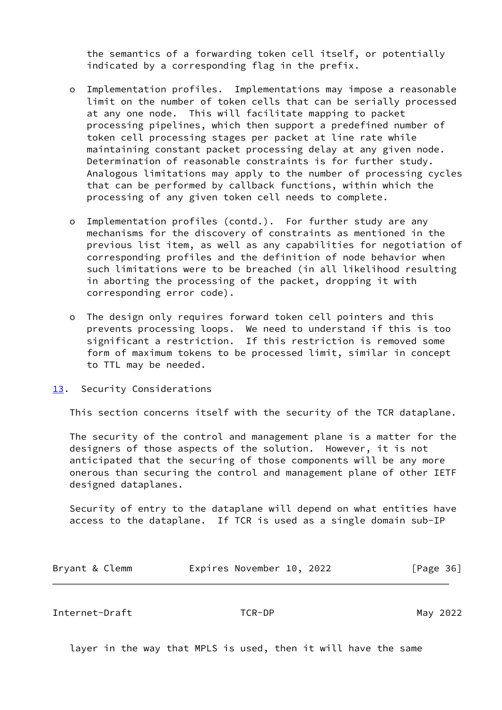the semantics of a forwarding token cell itself, or potentially indicated by a corresponding flag in the prefix.

- o Implementation profiles. Implementations may impose a reasonable limit on the number of token cells that can be serially processed at any one node. This will facilitate mapping to packet processing pipelines, which then support a predefined number of token cell processing stages per packet at line rate while maintaining constant packet processing delay at any given node. Determination of reasonable constraints is for further study. Analogous limitations may apply to the number of processing cycles that can be performed by callback functions, within which the processing of any given token cell needs to complete.
- o Implementation profiles (contd.). For further study are any mechanisms for the discovery of constraints as mentioned in the previous list item, as well as any capabilities for negotiation of corresponding profiles and the definition of node behavior when such limitations were to be breached (in all likelihood resulting in aborting the processing of the packet, dropping it with corresponding error code).
- o The design only requires forward token cell pointers and this prevents processing loops. We need to understand if this is too significant a restriction. If this restriction is removed some form of maximum tokens to be processed limit, similar in concept to TTL may be needed.
- <span id="page-40-0"></span>[13.](#page-40-0) Security Considerations

This section concerns itself with the security of the TCR dataplane.

 The security of the control and management plane is a matter for the designers of those aspects of the solution. However, it is not anticipated that the securing of those components will be any more onerous than securing the control and management plane of other IETF designed dataplanes.

 Security of entry to the dataplane will depend on what entities have access to the dataplane. If TCR is used as a single domain sub-IP

| Bryant & Clemm | Expires November 10, 2022 |  | [Page 36] |  |
|----------------|---------------------------|--|-----------|--|
|                |                           |  |           |  |

Internet-Draft TCR-DP May 2022

layer in the way that MPLS is used, then it will have the same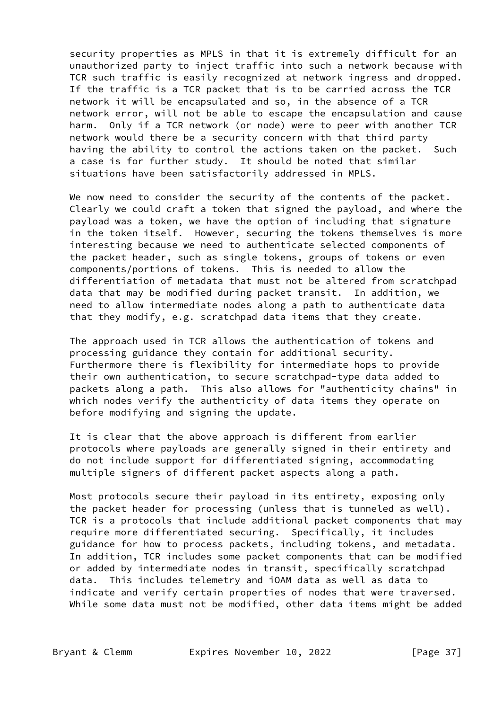security properties as MPLS in that it is extremely difficult for an unauthorized party to inject traffic into such a network because with TCR such traffic is easily recognized at network ingress and dropped. If the traffic is a TCR packet that is to be carried across the TCR network it will be encapsulated and so, in the absence of a TCR network error, will not be able to escape the encapsulation and cause harm. Only if a TCR network (or node) were to peer with another TCR network would there be a security concern with that third party having the ability to control the actions taken on the packet. Such a case is for further study. It should be noted that similar situations have been satisfactorily addressed in MPLS.

We now need to consider the security of the contents of the packet. Clearly we could craft a token that signed the payload, and where the payload was a token, we have the option of including that signature in the token itself. However, securing the tokens themselves is more interesting because we need to authenticate selected components of the packet header, such as single tokens, groups of tokens or even components/portions of tokens. This is needed to allow the differentiation of metadata that must not be altered from scratchpad data that may be modified during packet transit. In addition, we need to allow intermediate nodes along a path to authenticate data that they modify, e.g. scratchpad data items that they create.

 The approach used in TCR allows the authentication of tokens and processing guidance they contain for additional security. Furthermore there is flexibility for intermediate hops to provide their own authentication, to secure scratchpad-type data added to packets along a path. This also allows for "authenticity chains" in which nodes verify the authenticity of data items they operate on before modifying and signing the update.

 It is clear that the above approach is different from earlier protocols where payloads are generally signed in their entirety and do not include support for differentiated signing, accommodating multiple signers of different packet aspects along a path.

 Most protocols secure their payload in its entirety, exposing only the packet header for processing (unless that is tunneled as well). TCR is a protocols that include additional packet components that may require more differentiated securing. Specifically, it includes guidance for how to process packets, including tokens, and metadata. In addition, TCR includes some packet components that can be modified or added by intermediate nodes in transit, specifically scratchpad data. This includes telemetry and iOAM data as well as data to indicate and verify certain properties of nodes that were traversed. While some data must not be modified, other data items might be added

Bryant & Clemm **Expires November 10, 2022** [Page 37]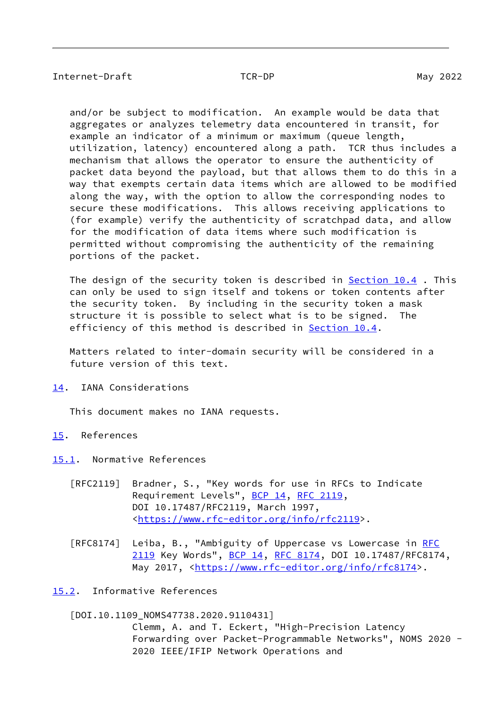<span id="page-42-1"></span> and/or be subject to modification. An example would be data that aggregates or analyzes telemetry data encountered in transit, for example an indicator of a minimum or maximum (queue length, utilization, latency) encountered along a path. TCR thus includes a mechanism that allows the operator to ensure the authenticity of packet data beyond the payload, but that allows them to do this in a way that exempts certain data items which are allowed to be modified along the way, with the option to allow the corresponding nodes to secure these modifications. This allows receiving applications to (for example) verify the authenticity of scratchpad data, and allow for the modification of data items where such modification is permitted without compromising the authenticity of the remaining portions of the packet.

The design of the security token is described in [Section 10.4](#page-23-1). This can only be used to sign itself and tokens or token contents after the security token. By including in the security token a mask structure it is possible to select what is to be signed. The efficiency of this method is described in [Section 10.4](#page-23-1).

 Matters related to inter-domain security will be considered in a future version of this text.

<span id="page-42-0"></span>[14.](#page-42-0) IANA Considerations

This document makes no IANA requests.

- <span id="page-42-2"></span>[15.](#page-42-2) References
- <span id="page-42-3"></span>[15.1](#page-42-3). Normative References
	- [RFC2119] Bradner, S., "Key words for use in RFCs to Indicate Requirement Levels", [BCP 14](https://datatracker.ietf.org/doc/pdf/bcp14), [RFC 2119](https://datatracker.ietf.org/doc/pdf/rfc2119), DOI 10.17487/RFC2119, March 1997, <[https://www.rfc-editor.org/info/rfc2119>](https://www.rfc-editor.org/info/rfc2119).
	- [RFC8174] Leiba, B., "Ambiguity of Uppercase vs Lowercase in [RFC](https://datatracker.ietf.org/doc/pdf/rfc2119) [2119](https://datatracker.ietf.org/doc/pdf/rfc2119) Key Words", [BCP 14](https://datatracker.ietf.org/doc/pdf/bcp14), [RFC 8174,](https://datatracker.ietf.org/doc/pdf/rfc8174) DOI 10.17487/RFC8174, May 2017, [<https://www.rfc-editor.org/info/rfc8174](https://www.rfc-editor.org/info/rfc8174)>.

<span id="page-42-4"></span>[15.2](#page-42-4). Informative References

<span id="page-42-5"></span>[DOI.10.1109\_NOMS47738.2020.9110431]

 Clemm, A. and T. Eckert, "High-Precision Latency Forwarding over Packet-Programmable Networks", NOMS 2020 - 2020 IEEE/IFIP Network Operations and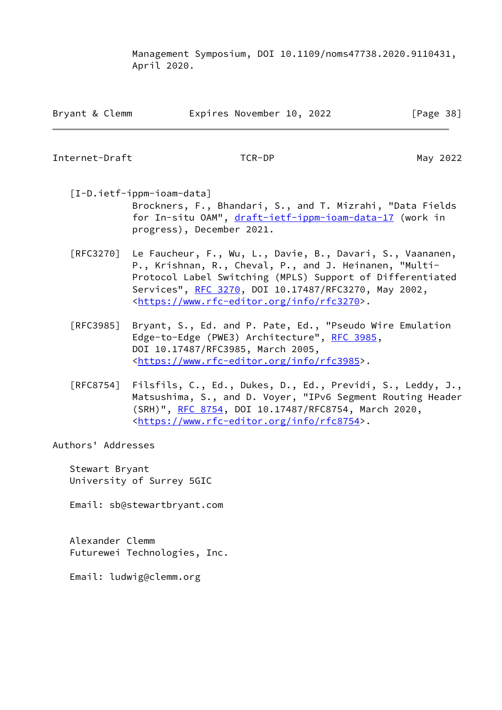Management Symposium, DOI 10.1109/noms47738.2020.9110431, April 2020.

| Bryant & Clemm | Expires November 10, 2022 |  | [Page 38] |
|----------------|---------------------------|--|-----------|
|----------------|---------------------------|--|-----------|

<span id="page-43-0"></span>Internet-Draft TCR-DP May 2022

<span id="page-43-1"></span> [I-D.ietf-ippm-ioam-data] Brockners, F., Bhandari, S., and T. Mizrahi, "Data Fields for In-situ OAM", [draft-ietf-ippm-ioam-data-17](https://datatracker.ietf.org/doc/pdf/draft-ietf-ippm-ioam-data-17) (work in progress), December 2021.

- [RFC3270] Le Faucheur, F., Wu, L., Davie, B., Davari, S., Vaananen, P., Krishnan, R., Cheval, P., and J. Heinanen, "Multi- Protocol Label Switching (MPLS) Support of Differentiated Services", [RFC 3270](https://datatracker.ietf.org/doc/pdf/rfc3270), DOI 10.17487/RFC3270, May 2002, <[https://www.rfc-editor.org/info/rfc3270>](https://www.rfc-editor.org/info/rfc3270).
- [RFC3985] Bryant, S., Ed. and P. Pate, Ed., "Pseudo Wire Emulation Edge-to-Edge (PWE3) Architecture", [RFC 3985](https://datatracker.ietf.org/doc/pdf/rfc3985), DOI 10.17487/RFC3985, March 2005, <[https://www.rfc-editor.org/info/rfc3985>](https://www.rfc-editor.org/info/rfc3985).
- [RFC8754] Filsfils, C., Ed., Dukes, D., Ed., Previdi, S., Leddy, J., Matsushima, S., and D. Voyer, "IPv6 Segment Routing Header (SRH)", [RFC 8754,](https://datatracker.ietf.org/doc/pdf/rfc8754) DOI 10.17487/RFC8754, March 2020, <[https://www.rfc-editor.org/info/rfc8754>](https://www.rfc-editor.org/info/rfc8754).

Authors' Addresses

 Stewart Bryant University of Surrey 5GIC

Email: sb@stewartbryant.com

 Alexander Clemm Futurewei Technologies, Inc.

Email: ludwig@clemm.org